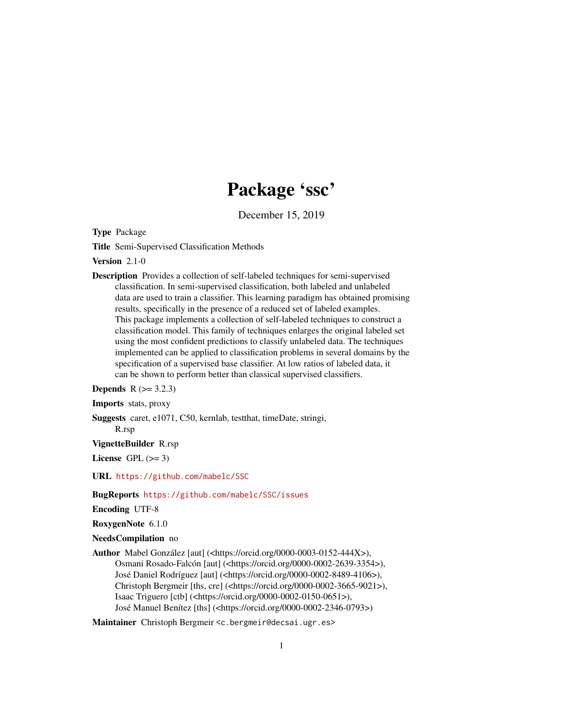## Package 'ssc'

December 15, 2019

Type Package

Title Semi-Supervised Classification Methods

Version 2.1-0

Description Provides a collection of self-labeled techniques for semi-supervised classification. In semi-supervised classification, both labeled and unlabeled data are used to train a classifier. This learning paradigm has obtained promising results, specifically in the presence of a reduced set of labeled examples. This package implements a collection of self-labeled techniques to construct a classification model. This family of techniques enlarges the original labeled set using the most confident predictions to classify unlabeled data. The techniques implemented can be applied to classification problems in several domains by the specification of a supervised base classifier. At low ratios of labeled data, it can be shown to perform better than classical supervised classifiers.

## **Depends**  $R$  ( $>= 3.2.3$ )

Imports stats, proxy

Suggests caret, e1071, C50, kernlab, testthat, timeDate, stringi, R.rsp

VignetteBuilder R.rsp

License GPL  $(>= 3)$ 

URL <https://github.com/mabelc/SSC>

## BugReports <https://github.com/mabelc/SSC/issues>

Encoding UTF-8

RoxygenNote 6.1.0

NeedsCompilation no

Author Mabel González [aut] (<https://orcid.org/0000-0003-0152-444X>), Osmani Rosado-Falcón [aut] (<https://orcid.org/0000-0002-2639-3354>), José Daniel Rodríguez [aut] (<https://orcid.org/0000-0002-8489-4106>), Christoph Bergmeir [ths, cre] (<https://orcid.org/0000-0002-3665-9021>), Isaac Triguero [ctb] (<https://orcid.org/0000-0002-0150-0651>), José Manuel Benítez [ths] (<https://orcid.org/0000-0002-2346-0793>)

Maintainer Christoph Bergmeir <c.bergmeir@decsai.ugr.es>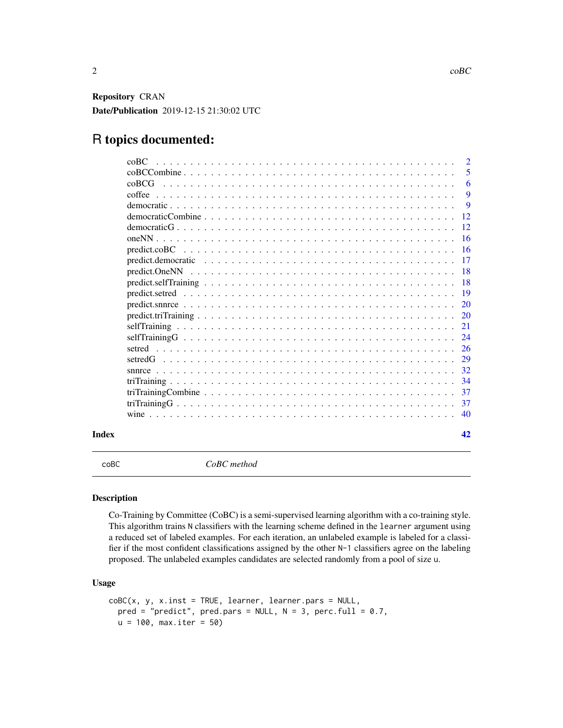<span id="page-1-0"></span>Repository CRAN Date/Publication 2019-12-15 21:30:02 UTC

## R topics documented:

| Index |                  | 42                  |
|-------|------------------|---------------------|
|       |                  | 40                  |
|       |                  | 37                  |
|       |                  | 37                  |
|       |                  | 34                  |
|       |                  | 32                  |
|       |                  | 29                  |
|       |                  | 26                  |
|       |                  | 24                  |
|       |                  | 21                  |
|       |                  | 20                  |
|       |                  | 20                  |
|       |                  | 19                  |
|       |                  | 18                  |
|       |                  | -18                 |
|       |                  | 17                  |
|       |                  | <b>16</b>           |
|       |                  | 16                  |
|       |                  | 12                  |
|       |                  | 12                  |
|       |                  | -9                  |
|       | coffee           | 9                   |
|       | coRCG            | 6                   |
|       | co <sub>BC</sub> | $\overline{2}$<br>5 |
|       |                  |                     |

<span id="page-1-1"></span>coBC *CoBC method*

#### Description

Co-Training by Committee (CoBC) is a semi-supervised learning algorithm with a co-training style. This algorithm trains N classifiers with the learning scheme defined in the learner argument using a reduced set of labeled examples. For each iteration, an unlabeled example is labeled for a classifier if the most confident classifications assigned by the other N-1 classifiers agree on the labeling proposed. The unlabeled examples candidates are selected randomly from a pool of size u.

## Usage

```
coBC(x, y, x.inst = TRUE, learner, learner.pars = NULL,
 pred = "predict", pred.pars = NULL, N = 3, perc.full = 0.7,
 u = 100, max.iter = 50)
```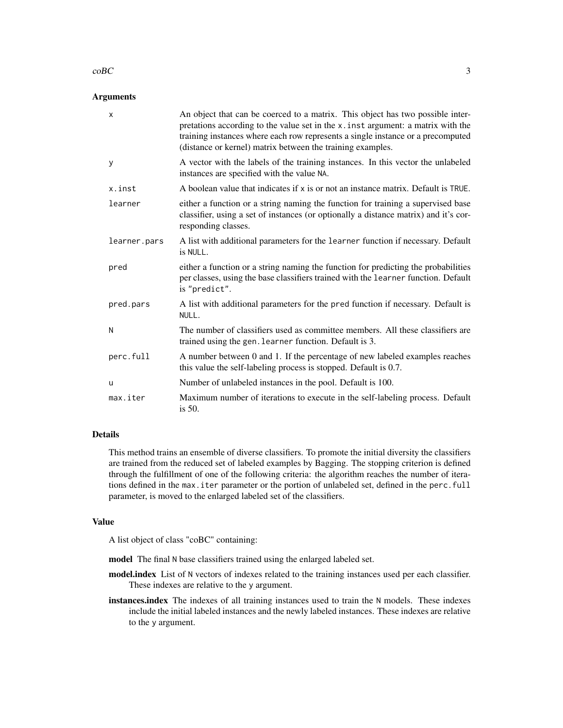#### $\text{coBC}$  3

#### **Arguments**

| $\boldsymbol{\mathsf{x}}$ | An object that can be coerced to a matrix. This object has two possible inter-<br>pretations according to the value set in the x. inst argument: a matrix with the<br>training instances where each row represents a single instance or a precomputed<br>(distance or kernel) matrix between the training examples. |
|---------------------------|---------------------------------------------------------------------------------------------------------------------------------------------------------------------------------------------------------------------------------------------------------------------------------------------------------------------|
| У                         | A vector with the labels of the training instances. In this vector the unlabeled<br>instances are specified with the value NA.                                                                                                                                                                                      |
| x.inst                    | A boolean value that indicates if $x$ is or not an instance matrix. Default is TRUE.                                                                                                                                                                                                                                |
| learner                   | either a function or a string naming the function for training a supervised base<br>classifier, using a set of instances (or optionally a distance matrix) and it's cor-<br>responding classes.                                                                                                                     |
| learner.pars              | A list with additional parameters for the learner function if necessary. Default<br>is NULL.                                                                                                                                                                                                                        |
| pred                      | either a function or a string naming the function for predicting the probabilities<br>per classes, using the base classifiers trained with the learner function. Default<br>is "predict".                                                                                                                           |
| pred.pars                 | A list with additional parameters for the pred function if necessary. Default is<br>NULL.                                                                                                                                                                                                                           |
| N                         | The number of classifiers used as committee members. All these classifiers are<br>trained using the gen. learner function. Default is 3.                                                                                                                                                                            |
| perc.full                 | A number between 0 and 1. If the percentage of new labeled examples reaches<br>this value the self-labeling process is stopped. Default is 0.7.                                                                                                                                                                     |
| u                         | Number of unlabeled instances in the pool. Default is 100.                                                                                                                                                                                                                                                          |
| max.iter                  | Maximum number of iterations to execute in the self-labeling process. Default<br>is $50$ .                                                                                                                                                                                                                          |

## Details

This method trains an ensemble of diverse classifiers. To promote the initial diversity the classifiers are trained from the reduced set of labeled examples by Bagging. The stopping criterion is defined through the fulfillment of one of the following criteria: the algorithm reaches the number of iterations defined in the max.iter parameter or the portion of unlabeled set, defined in the perc.full parameter, is moved to the enlarged labeled set of the classifiers.

#### Value

A list object of class "coBC" containing:

model The final N base classifiers trained using the enlarged labeled set.

- model.index List of N vectors of indexes related to the training instances used per each classifier. These indexes are relative to the y argument.
- instances.index The indexes of all training instances used to train the N models. These indexes include the initial labeled instances and the newly labeled instances. These indexes are relative to the y argument.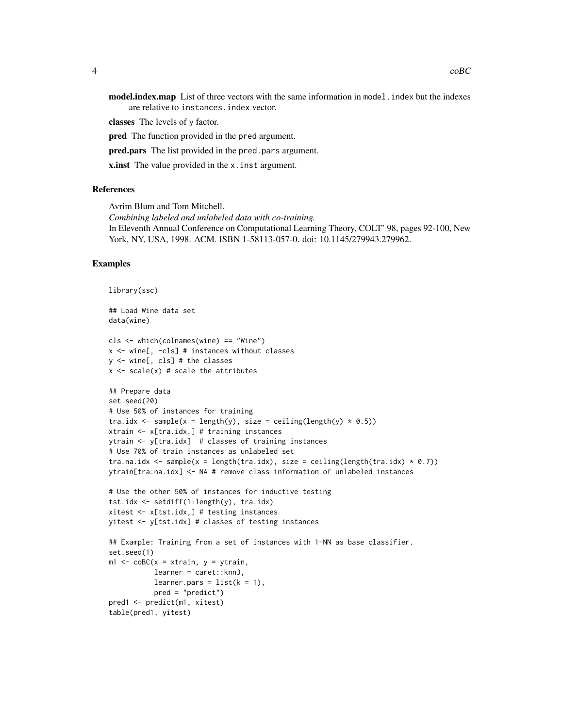model.index.map List of three vectors with the same information in model. index but the indexes are relative to instances.index vector.

classes The levels of y factor.

pred The function provided in the pred argument.

pred.pars The list provided in the pred.pars argument.

x.inst The value provided in the x.inst argument.

#### References

Avrim Blum and Tom Mitchell.

*Combining labeled and unlabeled data with co-training.* In Eleventh Annual Conference on Computational Learning Theory, COLT' 98, pages 92-100, New York, NY, USA, 1998. ACM. ISBN 1-58113-057-0. doi: 10.1145/279943.279962.

## Examples

```
library(ssc)
```
## Load Wine data set data(wine)

```
cls <- which(colnames(wine) == "Wine")
x <- wine[, -cls] # instances without classes
y <- wine[, cls] # the classes
x \leftarrow scale(x) # scale the attributes
```

```
## Prepare data
set.seed(20)
# Use 50% of instances for training
tra.idx <- sample(x = length(y), size = ceiling(length(y) * 0.5))
xtrain <- x[tra.idx,] # training instances
ytrain <- y[tra.idx] # classes of training instances
# Use 70% of train instances as unlabeled set
tra.na.idx <- sample(x = length(tra.idx), size = ceiling(length(tra.idx) * 0.7))
ytrain[tra.na.idx] <- NA # remove class information of unlabeled instances
```

```
# Use the other 50% of instances for inductive testing
tst.idx <- setdiff(1:length(y), tra.idx)
xitest <- x[tst.idx,] # testing instances
yitest <- y[tst.idx] # classes of testing instances
```

```
## Example: Training from a set of instances with 1-NN as base classifier.
set.seed(1)
m1 \leq -\text{coBC}(x = x\text{train}, y = y\text{train},learner = caret::knn3,
            learner.pars = list(k = 1),
            pred = "predict")
pred1 <- predict(m1, xitest)
table(pred1, yitest)
```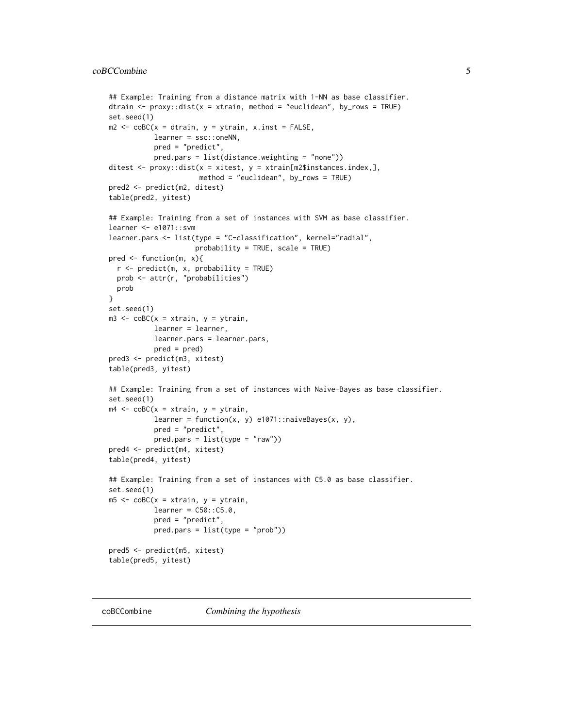```
## Example: Training from a distance matrix with 1-NN as base classifier.
dtrain \leq proxy::dist(x = xtrain, method = "euclidean", by_rows = TRUE)
set.seed(1)
m2 \leq -\text{coBC}(x = \text{dtrain}, y = \text{ytrain}, x \text{.inst} = \text{FALSE},learner = ssc::oneNN,
           pred = "predict",
           pred.pars = list(distance.weighting = "none"))
ditest \leq proxy::dist(x = xitest, y = xtrain[m2$instances.index,],
                       method = "euclidean", by_rows = TRUE)
pred2 <- predict(m2, ditest)
table(pred2, yitest)
## Example: Training from a set of instances with SVM as base classifier.
learner <- e1071::svm
learner.pars <- list(type = "C-classification", kernel="radial",
                      probability = TRUE, scale = TRUE)
pred <- function(m, x){
  r <- predict(m, x, probability = TRUE)
  prob <- attr(r, "probabilities")
  prob
}
set.seed(1)
m3 <- coBC(x = xtrain, y = ytrain,learner = learner,
           learner.pars = learner.pars,
           pred = pred)
pred3 <- predict(m3, xitest)
table(pred3, yitest)
## Example: Training from a set of instances with Naive-Bayes as base classifier.
set.seed(1)
m4 \leq -\text{coBC}(x = x\text{train}, y = y\text{train},learner = function(x, y) e1071::naiveBayes(x, y),
           pred = "predict",
           pred.parse = list(type = "raw")pred4 <- predict(m4, xitest)
table(pred4, yitest)
## Example: Training from a set of instances with C5.0 as base classifier.
set.seed(1)
m5 < - \text{coBC}(x = x\text{train}, y = y\text{train},learner = C50::C5.0,pred = "predict",
           pred.pars = list(type = "prob"))
pred5 <- predict(m5, xitest)
table(pred5, yitest)
```
coBCCombine *Combining the hypothesis*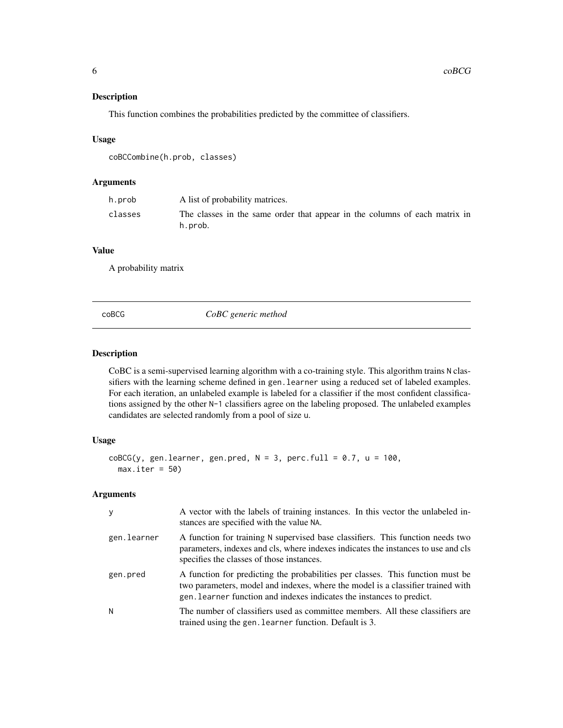## <span id="page-5-0"></span>Description

This function combines the probabilities predicted by the committee of classifiers.

#### Usage

```
coBCCombine(h.prob, classes)
```
## Arguments

| h.prob  | A list of probability matrices.                                                       |
|---------|---------------------------------------------------------------------------------------|
| classes | The classes in the same order that appear in the columns of each matrix in<br>h.prob. |

## Value

A probability matrix

coBCG *CoBC generic method*

## Description

CoBC is a semi-supervised learning algorithm with a co-training style. This algorithm trains N classifiers with the learning scheme defined in gen.learner using a reduced set of labeled examples. For each iteration, an unlabeled example is labeled for a classifier if the most confident classifications assigned by the other N-1 classifiers agree on the labeling proposed. The unlabeled examples candidates are selected randomly from a pool of size u.

## Usage

```
coBCG(y, gen. learner, gen.pred, N = 3, perc-full = 0.7, u = 100,max.iter = 50
```

| y           | A vector with the labels of training instances. In this vector the unlabeled in-<br>stances are specified with the value NA.                                                                                                               |
|-------------|--------------------------------------------------------------------------------------------------------------------------------------------------------------------------------------------------------------------------------------------|
| gen.learner | A function for training N supervised base classifiers. This function needs two<br>parameters, indexes and cls, where indexes indicates the instances to use and cls<br>specifies the classes of those instances.                           |
| gen.pred    | A function for predicting the probabilities per classes. This function must be<br>two parameters, model and indexes, where the model is a classifier trained with<br>gen. Learner function and indexes indicates the instances to predict. |
| N           | The number of classifiers used as committee members. All these classifiers are<br>trained using the gen. Learner function. Default is 3.                                                                                                   |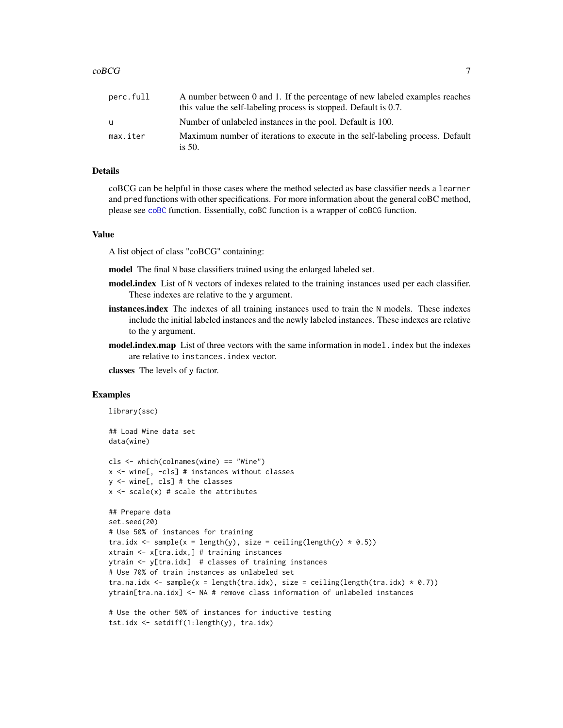<span id="page-6-0"></span>

| perc.full | A number between 0 and 1. If the percentage of new labeled examples reaches<br>this value the self-labeling process is stopped. Default is 0.7. |
|-----------|-------------------------------------------------------------------------------------------------------------------------------------------------|
| u         | Number of unlabeled instances in the pool. Default is 100.                                                                                      |
| max.iter  | Maximum number of iterations to execute in the self-labeling process. Default<br>is $50$ .                                                      |

## Details

coBCG can be helpful in those cases where the method selected as base classifier needs a learner and pred functions with other specifications. For more information about the general coBC method, please see [coBC](#page-1-1) function. Essentially, coBC function is a wrapper of coBCG function.

#### Value

A list object of class "coBCG" containing:

- model The final N base classifiers trained using the enlarged labeled set.
- model.index List of N vectors of indexes related to the training instances used per each classifier. These indexes are relative to the y argument.
- instances.index The indexes of all training instances used to train the N models. These indexes include the initial labeled instances and the newly labeled instances. These indexes are relative to the y argument.
- model.index.map List of three vectors with the same information in model. index but the indexes are relative to instances.index vector.

classes The levels of y factor.

#### Examples

```
library(ssc)
```
## Load Wine data set data(wine)

```
cls <- which(colnames(wine) == "Wine")
x <- wine[, -cls] # instances without classes
y <- wine[, cls] # the classes
x \leftarrow scale(x) # scale the attributes
```

```
## Prepare data
set.seed(20)
# Use 50% of instances for training
tra.idx <- sample(x = length(y), size = ceiling(length(y) * 0.5))
xtrain <- x[tra.idx,] # training instances
ytrain <- y[tra.idx] # classes of training instances
# Use 70% of train instances as unlabeled set
tra.na.idx <- sample(x = length(tra.idx), size = ceiling(length(tra.idx) * 0.7))
ytrain[tra.na.idx] <- NA # remove class information of unlabeled instances
```

```
# Use the other 50% of instances for inductive testing
tst.idx <- setdiff(1:length(y), tra.idx)
```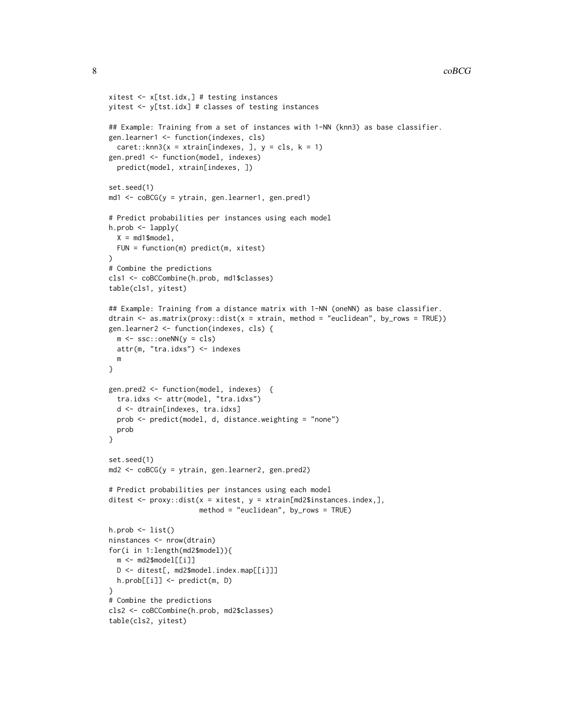```
xitest <- x[tst.idx,] # testing instances
yitest <- y[tst.idx] # classes of testing instances
## Example: Training from a set of instances with 1-NN (knn3) as base classifier.
gen.learner1 <- function(indexes, cls)
  care:knn3(x = xtrain[indexes, ], y = cls, k = 1)gen.pred1 <- function(model, indexes)
  predict(model, xtrain[indexes, ])
set.seed(1)
md1 <- coBCG(y = ytrain, gen.learner1, gen.pred1)
# Predict probabilities per instances using each model
h.prob <- lapply(
  X = md1$model,
  FUN = function(m) predict(m, xitest)
)
# Combine the predictions
cls1 <- coBCCombine(h.prob, md1$classes)
table(cls1, yitest)
## Example: Training from a distance matrix with 1-NN (oneNN) as base classifier.
dtrain \leq as.matrix(proxy::dist(x = xtrain, method = "euclidean", by_rows = TRUE))
gen.learner2 <- function(indexes, cls) {
  m \leq -ssc::oneNN(y = cls)attr(m, "tra.idxs") <- indexes
  m
}
gen.pred2 <- function(model, indexes) {
  tra.idxs <- attr(model, "tra.idxs")
  d <- dtrain[indexes, tra.idxs]
  prob <- predict(model, d, distance.weighting = "none")
  prob
}
set.seed(1)
md2 <- coBCG(y = ytrain, gen.learner2, gen.pred2)
# Predict probabilities per instances using each model
ditest <- proxy::dist(x = xitest, y = xtrain[md2$instances.index,],
                      method = "euclidean", by_rows = TRUE)
h.prob \leftarrow list()ninstances <- nrow(dtrain)
for(i in 1:length(md2$model)){
  m <- md2$model[[i]]
  D <- ditest[, md2$model.index.map[[i]]]
  h.prob[[i]] <- predict(m, D)
}
# Combine the predictions
cls2 <- coBCCombine(h.prob, md2$classes)
table(cls2, yitest)
```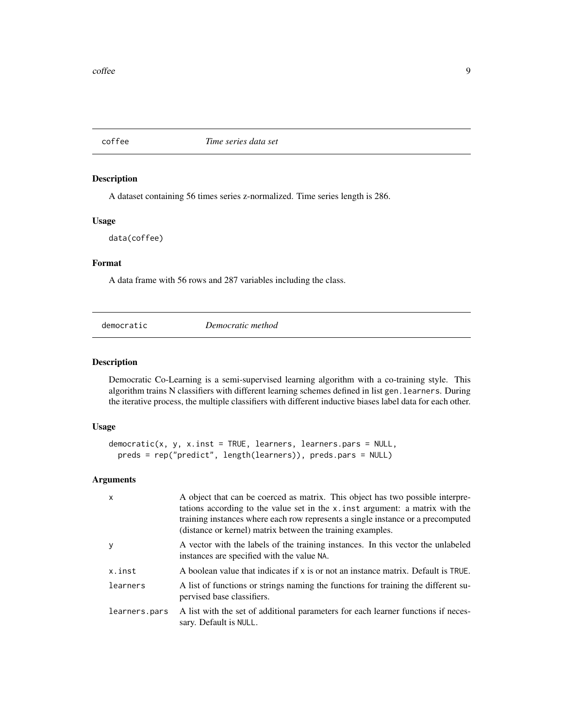<span id="page-8-0"></span>

#### Description

A dataset containing 56 times series z-normalized. Time series length is 286.

#### Usage

data(coffee)

## Format

A data frame with 56 rows and 287 variables including the class.

<span id="page-8-1"></span>

democratic *Democratic method*

## Description

Democratic Co-Learning is a semi-supervised learning algorithm with a co-training style. This algorithm trains N classifiers with different learning schemes defined in list gen.learners. During the iterative process, the multiple classifiers with different inductive biases label data for each other.

#### Usage

```
democratic(x, y, x.inst = TRUE, learners, learners.pars = NULL,
 preds = rep("predict", length(learners)), preds.pars = NULL)
```

| $\mathsf{x}$  | A object that can be coerced as matrix. This object has two possible interpre-<br>tations according to the value set in the x. inst argument: a matrix with the<br>training instances where each row represents a single instance or a precomputed<br>(distance or kernel) matrix between the training examples. |
|---------------|------------------------------------------------------------------------------------------------------------------------------------------------------------------------------------------------------------------------------------------------------------------------------------------------------------------|
| <b>V</b>      | A vector with the labels of the training instances. In this vector the unlabeled<br>instances are specified with the value NA.                                                                                                                                                                                   |
| x.inst        | A boolean value that indicates if x is or not an instance matrix. Default is TRUE.                                                                                                                                                                                                                               |
| learners      | A list of functions or strings naming the functions for training the different su-<br>pervised base classifiers.                                                                                                                                                                                                 |
| learners.pars | A list with the set of additional parameters for each learner functions if neces-<br>sary. Default is NULL.                                                                                                                                                                                                      |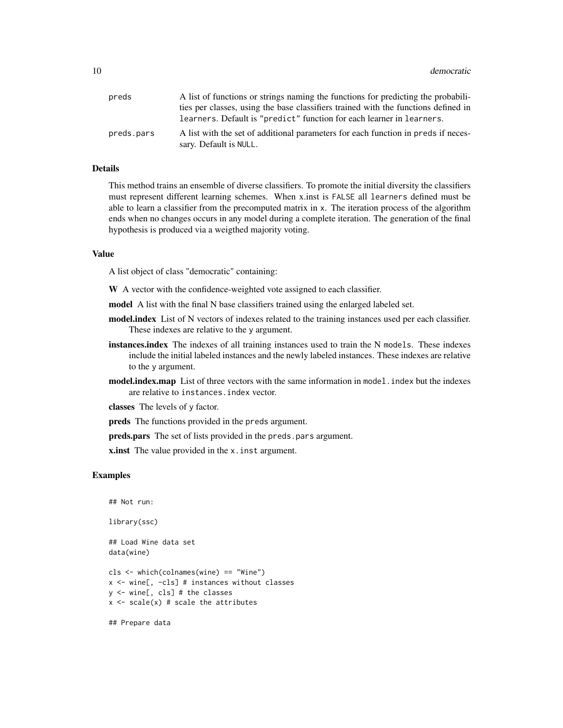| preds      | A list of functions or strings naming the functions for predicting the probabili-                           |
|------------|-------------------------------------------------------------------------------------------------------------|
|            | ties per classes, using the base classifiers trained with the functions defined in                          |
|            | learners. Default is "predict" function for each learner in learners.                                       |
| preds.pars | A list with the set of additional parameters for each function in preds if neces-<br>sary. Default is NULL. |

### Details

This method trains an ensemble of diverse classifiers. To promote the initial diversity the classifiers must represent different learning schemes. When x.inst is FALSE all learners defined must be able to learn a classifier from the precomputed matrix in x. The iteration process of the algorithm ends when no changes occurs in any model during a complete iteration. The generation of the final hypothesis is produced via a weigthed majority voting.

#### Value

A list object of class "democratic" containing:

W A vector with the confidence-weighted vote assigned to each classifier.

model A list with the final N base classifiers trained using the enlarged labeled set.

- model.index List of N vectors of indexes related to the training instances used per each classifier. These indexes are relative to the y argument.
- instances.index The indexes of all training instances used to train the N models. These indexes include the initial labeled instances and the newly labeled instances. These indexes are relative to the y argument.
- **model.index.map** List of three vectors with the same information in model. index but the indexes are relative to instances.index vector.

classes The levels of y factor.

preds The functions provided in the preds argument.

preds.pars The set of lists provided in the preds.pars argument.

**x.inst** The value provided in the x. inst argument.

#### Examples

```
## Not run:
```
library(ssc)

## Load Wine data set data(wine)

cls <- which(colnames(wine) == "Wine") x <- wine[, -cls] # instances without classes y <- wine[, cls] # the classes  $x \leftarrow scale(x)$  # scale the attributes

## Prepare data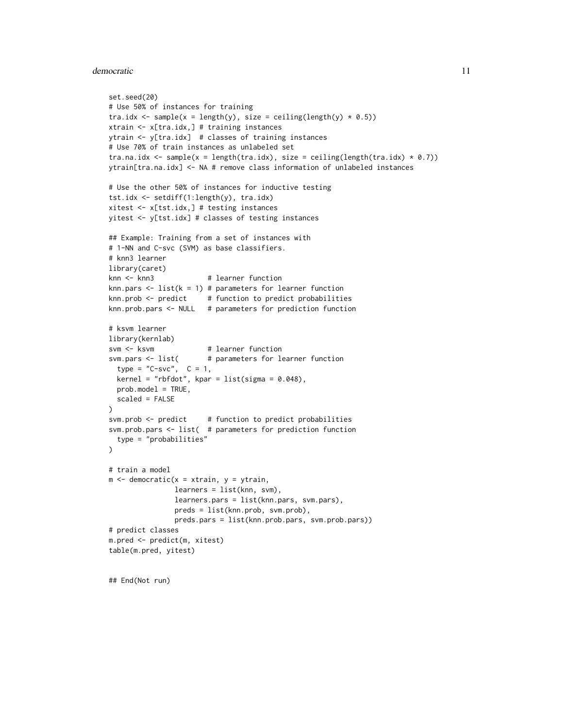#### democratic the contract of the contract of the contract of the contract of the contract of the contract of the contract of the contract of the contract of the contract of the contract of the contract of the contract of the

```
set.seed(20)
# Use 50% of instances for training
tra.idx <- sample(x = length(y), size = ceiling(length(y) * 0.5))
xtrain <- x[tra.idx,] # training instances
ytrain <- y[tra.idx] # classes of training instances
# Use 70% of train instances as unlabeled set
tra.na.idx <- sample(x = length(tra.idx), size = ceiling(length(tra.idx) * 0.7))
ytrain[tra.na.idx] <- NA # remove class information of unlabeled instances
# Use the other 50% of instances for inductive testing
tst.idx <- setdiff(1:length(y), tra.idx)
xitest <- x[tst.idx,] # testing instances
yitest <- y[tst.idx] # classes of testing instances
## Example: Training from a set of instances with
# 1-NN and C-svc (SVM) as base classifiers.
# knn3 learner
library(caret)
knn <- knn3 # learner function
knn.pars \le list(k = 1) # parameters for learner function
knn.prob \leq-predict # function to predict probabilities
knn.prob.pars <- NULL # parameters for prediction function
# ksvm learner
library(kernlab)
svm <- ksvm # learner function
svm.pars <- list( # parameters for learner function
 type = "C-svc", C = 1,kernel = "rbfdot", kpar = list(sigma = 0.048),
 prob.model = TRUE,
 scaled = FALSE
\lambdasvm.prob <- predict # function to predict probabilities
svm.prob.pars <- list( # parameters for prediction function
 type = "probabilities"
\lambda# train a model
m <- democratic(x = xtrain, y = ytrain,
                learners = list(knn, svm),
                learners.pars = list(knn.pars, svm.pars),
                preds = list(knn.prob, svm.prob),
               preds.pars = list(knn.prob.pars, svm.prob.pars))
# predict classes
m.pred <- predict(m, xitest)
table(m.pred, yitest)
```
## End(Not run)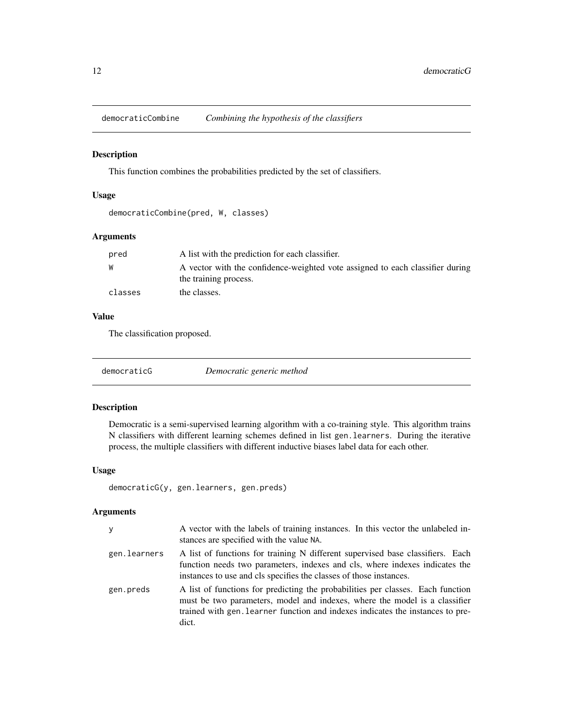<span id="page-11-0"></span>

#### Description

This function combines the probabilities predicted by the set of classifiers.

#### Usage

democraticCombine(pred, W, classes)

## Arguments

| pred    | A list with the prediction for each classifier.                                                        |
|---------|--------------------------------------------------------------------------------------------------------|
| W       | A vector with the confidence-weighted vote assigned to each classifier during<br>the training process. |
| classes | the classes.                                                                                           |

## Value

The classification proposed.

democraticG *Democratic generic method*

#### Description

Democratic is a semi-supervised learning algorithm with a co-training style. This algorithm trains N classifiers with different learning schemes defined in list gen.learners. During the iterative process, the multiple classifiers with different inductive biases label data for each other.

## Usage

```
democraticG(y, gen.learners, gen.preds)
```

| y            | A vector with the labels of training instances. In this vector the unlabeled in-<br>stances are specified with the value NA.                                                                                                                             |
|--------------|----------------------------------------------------------------------------------------------------------------------------------------------------------------------------------------------------------------------------------------------------------|
| gen.learners | A list of functions for training N different supervised base classifiers. Each<br>function needs two parameters, indexes and cls, where indexes indicates the<br>instances to use and cls specifies the classes of those instances.                      |
| gen.preds    | A list of functions for predicting the probabilities per classes. Each function<br>must be two parameters, model and indexes, where the model is a classifier<br>trained with gen. Learner function and indexes indicates the instances to pre-<br>dict. |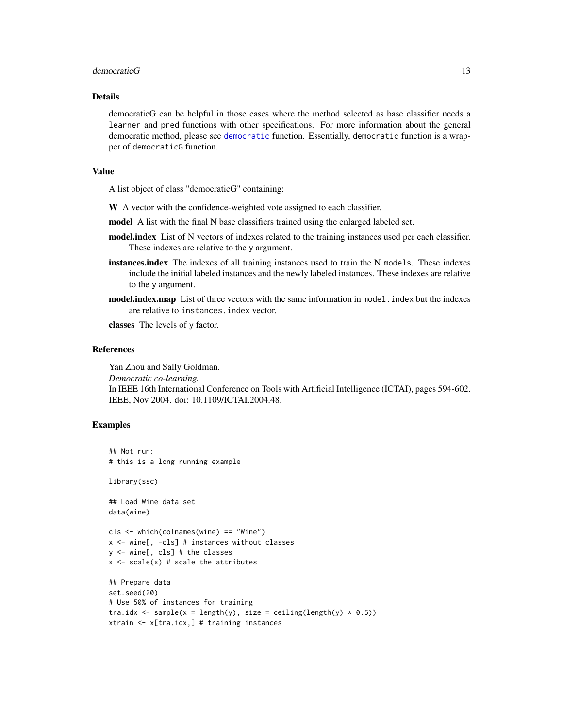#### <span id="page-12-0"></span>democraticG  $\qquad \qquad$  13

#### Details

democraticG can be helpful in those cases where the method selected as base classifier needs a learner and pred functions with other specifications. For more information about the general democratic method, please see [democratic](#page-8-1) function. Essentially, democratic function is a wrapper of democraticG function.

## Value

A list object of class "democraticG" containing:

- W A vector with the confidence-weighted vote assigned to each classifier.
- model A list with the final N base classifiers trained using the enlarged labeled set.
- model.index List of N vectors of indexes related to the training instances used per each classifier. These indexes are relative to the y argument.
- instances.index The indexes of all training instances used to train the N models. These indexes include the initial labeled instances and the newly labeled instances. These indexes are relative to the y argument.
- model.index.map List of three vectors with the same information in model. index but the indexes are relative to instances.index vector.

classes The levels of y factor.

## References

Yan Zhou and Sally Goldman. *Democratic co-learning.* In IEEE 16th International Conference on Tools with Artificial Intelligence (ICTAI), pages 594-602. IEEE, Nov 2004. doi: 10.1109/ICTAI.2004.48.

### Examples

## Not run: # this is a long running example

library(ssc)

## Load Wine data set data(wine)

```
cls <- which(colnames(wine) == "Wine")
x <- wine[, -cls] # instances without classes
y <- wine[, cls] # the classes
x \leftarrow scale(x) # scale the attributes
```

```
## Prepare data
set.seed(20)
# Use 50% of instances for training
tra.idx <- sample(x = length(y), size = ceiling(length(y) * 0.5))
xtrain <- x[tra.idx,] # training instances
```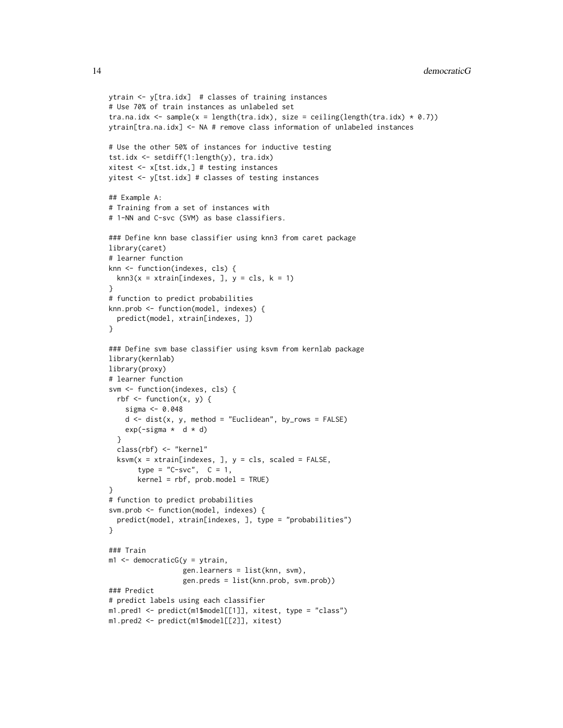```
ytrain <- y[tra.idx] # classes of training instances
# Use 70% of train instances as unlabeled set
tra.na.idx \leq sample(x = length(tra.idx), size = ceiling(length(tra.idx) * 0.7))
ytrain[tra.na.idx] <- NA # remove class information of unlabeled instances
# Use the other 50% of instances for inductive testing
tst.idx <- setdiff(1:length(y), tra.idx)
xitest <- x[tst.idx,] # testing instances
yitest <- y[tst.idx] # classes of testing instances
## Example A:
# Training from a set of instances with
# 1-NN and C-svc (SVM) as base classifiers.
### Define knn base classifier using knn3 from caret package
library(caret)
# learner function
knn <- function(indexes, cls) {
  kmn3(x = xtrain[indexes, ], y = cls, k = 1)}
# function to predict probabilities
knn.prob <- function(model, indexes) {
  predict(model, xtrain[indexes, ])
}
### Define svm base classifier using ksvm from kernlab package
library(kernlab)
library(proxy)
# learner function
svm <- function(indexes, cls) {
 rbf \leftarrow function(x, y) {
    sigma <- 0.048
    d \leq -dist(x, y, \text{ method} = "Euclidean", byrows = FALSE)exp(-sigma * d * d)
  }
  class(rbf) <- "kernel"
  ksvm(x = xtrain[indexes, ], y = cls, scaled = FALSE,type = "C-svc", C = 1,
       kernel = rbf, prob.model = TRUE)
}
# function to predict probabilities
svm.prob <- function(model, indexes) {
  predict(model, xtrain[indexes, ], type = "probabilities")
}
### Train
m1 <- democraticG(y = ytrain,
                  gen.learners = list(knn, svm),
                  gen.preds = list(knn.prob, svm.prob))
### Predict
# predict labels using each classifier
m1.pred1 <- predict(m1$model[[1]], xitest, type = "class")
m1.pred2 <- predict(m1$model[[2]], xitest)
```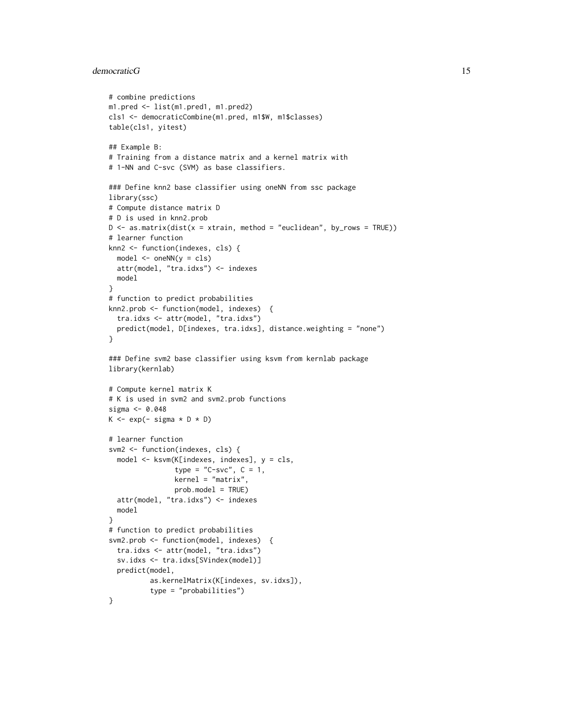#### democraticG 15

```
# combine predictions
m1.pred <- list(m1.pred1, m1.pred2)
cls1 <- democraticCombine(m1.pred, m1$W, m1$classes)
table(cls1, yitest)
## Example B:
# Training from a distance matrix and a kernel matrix with
# 1-NN and C-svc (SVM) as base classifiers.
### Define knn2 base classifier using oneNN from ssc package
library(ssc)
# Compute distance matrix D
# D is used in knn2.prob
D \leq -as.matrix(dist(x = xtrain, method = "euclidean", by_rows = TRUE))
# learner function
knn2 <- function(indexes, cls) {
  model <- oneNN(y = cls)
  attr(model, "tra.idxs") <- indexes
  model
}
# function to predict probabilities
knn2.prob <- function(model, indexes) {
  tra.idxs <- attr(model, "tra.idxs")
  predict(model, D[indexes, tra.idxs], distance.weighting = "none")
}
### Define svm2 base classifier using ksvm from kernlab package
library(kernlab)
# Compute kernel matrix K
# K is used in svm2 and svm2.prob functions
sigma <- 0.048
K \leq - \exp(-\sigma) \cdot \exp(-\sigma)# learner function
svm2 <- function(indexes, cls) {
  model <- ksvm(K[indexes, indexes], y = cls,
                type = "C-svc", C = 1,
                kernel = "matrix"prob.model = TRUE)
  attr(model, "tra.idxs") <- indexes
  model
}
# function to predict probabilities
svm2.prob <- function(model, indexes) {
  tra.idxs <- attr(model, "tra.idxs")
  sv.idxs <- tra.idxs[SVindex(model)]
  predict(model,
          as.kernelMatrix(K[indexes, sv.idxs]),
          type = "probabilities")
}
```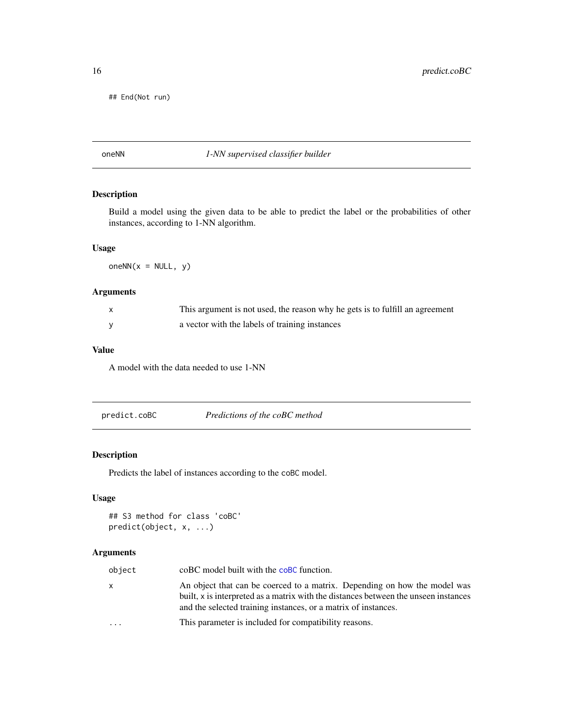<span id="page-15-0"></span>## End(Not run)

## <span id="page-15-1"></span>oneNN *1-NN supervised classifier builder*

## Description

Build a model using the given data to be able to predict the label or the probabilities of other instances, according to 1-NN algorithm.

#### Usage

oneNN( $x = NULL, y$ )

## Arguments

| $\mathsf{x}$ | This argument is not used, the reason why he gets is to fulfill an agreement |
|--------------|------------------------------------------------------------------------------|
|              | a vector with the labels of training instances                               |

### Value

A model with the data needed to use 1-NN

| predict.coBC | Predictions of the coBC method |  |
|--------------|--------------------------------|--|
|--------------|--------------------------------|--|

## Description

Predicts the label of instances according to the coBC model.

## Usage

```
## S3 method for class 'coBC'
predict(object, x, ...)
```

| object   | coBC model built with the coBC function.                                                                                                                                                                                           |
|----------|------------------------------------------------------------------------------------------------------------------------------------------------------------------------------------------------------------------------------------|
| X        | An object that can be coerced to a matrix. Depending on how the model was<br>built, x is interpreted as a matrix with the distances between the unseen instances<br>and the selected training instances, or a matrix of instances. |
| $\cdots$ | This parameter is included for compatibility reasons.                                                                                                                                                                              |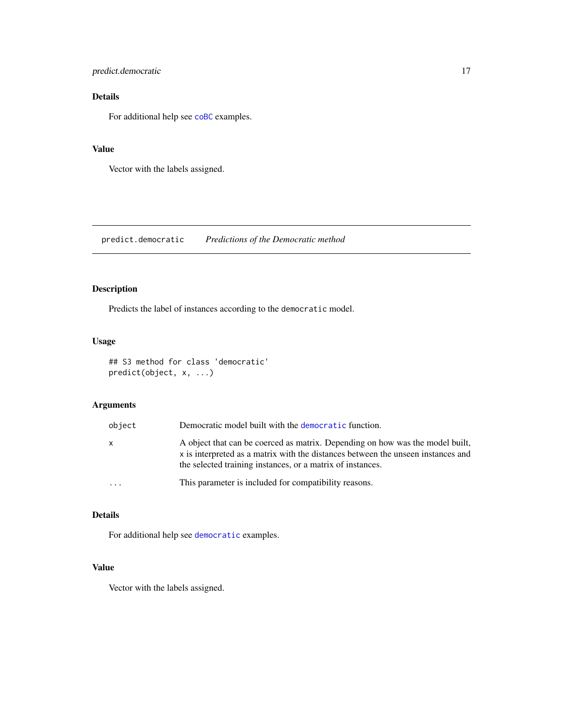<span id="page-16-0"></span>predict.democratic 17

## Details

For additional help see [coBC](#page-1-1) examples.

#### Value

Vector with the labels assigned.

predict.democratic *Predictions of the Democratic method*

## Description

Predicts the label of instances according to the democratic model.

## Usage

```
## S3 method for class 'democratic'
predict(object, x, ...)
```
## Arguments

| object | Democratic model built with the democratic function.                                                                                                                                                                            |
|--------|---------------------------------------------------------------------------------------------------------------------------------------------------------------------------------------------------------------------------------|
| x      | A object that can be coerced as matrix. Depending on how was the model built,<br>x is interpreted as a matrix with the distances between the unseen instances and<br>the selected training instances, or a matrix of instances. |
|        | This parameter is included for compatibility reasons.                                                                                                                                                                           |

#### Details

For additional help see [democratic](#page-8-1) examples.

## Value

Vector with the labels assigned.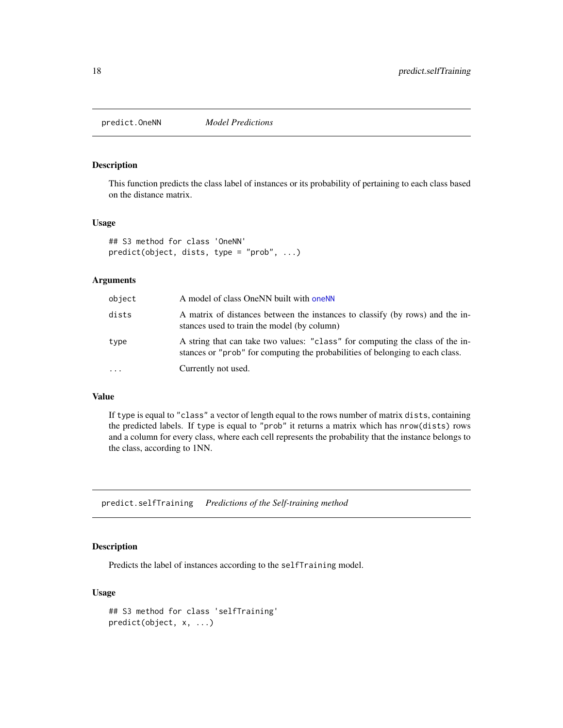<span id="page-17-0"></span>predict.OneNN *Model Predictions*

#### Description

This function predicts the class label of instances or its probability of pertaining to each class based on the distance matrix.

#### Usage

```
## S3 method for class 'OneNN'
predict(object, dists, type = "prob", ...)
```
## Arguments

| object | A model of class OneNN built with oneNN                                                                                                                        |
|--------|----------------------------------------------------------------------------------------------------------------------------------------------------------------|
| dists  | A matrix of distances between the instances to classify (by rows) and the in-<br>stances used to train the model (by column)                                   |
| type   | A string that can take two values: "class" for computing the class of the in-<br>stances or "prob" for computing the probabilities of belonging to each class. |
| .      | Currently not used.                                                                                                                                            |

## Value

If type is equal to "class" a vector of length equal to the rows number of matrix dists, containing the predicted labels. If type is equal to "prob" it returns a matrix which has nrow(dists) rows and a column for every class, where each cell represents the probability that the instance belongs to the class, according to 1NN.

predict.selfTraining *Predictions of the Self-training method*

## Description

Predicts the label of instances according to the selfTraining model.

## Usage

```
## S3 method for class 'selfTraining'
predict(object, x, ...)
```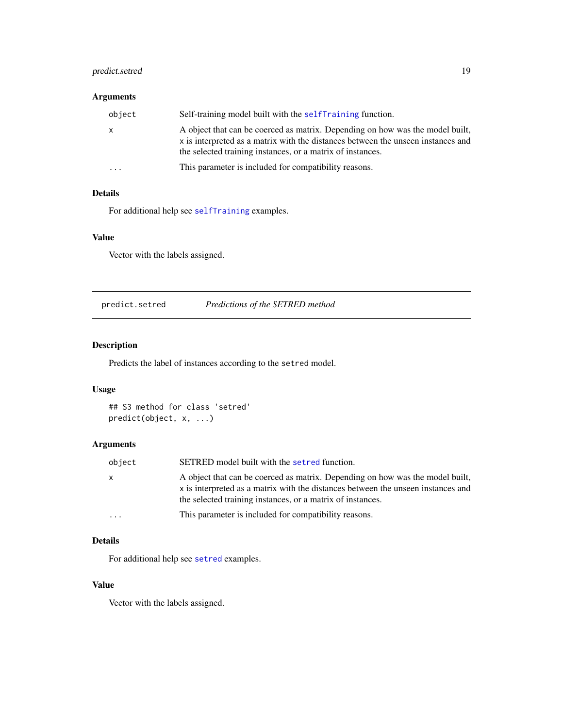## <span id="page-18-0"></span>predict.setred 19

## Arguments

| object                  | Self-training model built with the self-Training function.                                                                                                                                                                      |
|-------------------------|---------------------------------------------------------------------------------------------------------------------------------------------------------------------------------------------------------------------------------|
| $\mathsf{X}$            | A object that can be coerced as matrix. Depending on how was the model built,<br>x is interpreted as a matrix with the distances between the unseen instances and<br>the selected training instances, or a matrix of instances. |
| $\cdot$ $\cdot$ $\cdot$ | This parameter is included for compatibility reasons.                                                                                                                                                                           |

## Details

For additional help see [selfTraining](#page-20-1) examples.

#### Value

Vector with the labels assigned.

predict.setred *Predictions of the SETRED method*

## Description

Predicts the label of instances according to the setred model.

## Usage

## S3 method for class 'setred' predict(object, x, ...)

## Arguments

| object    | SETRED model built with the setred function.                                                                                                                                                                                    |
|-----------|---------------------------------------------------------------------------------------------------------------------------------------------------------------------------------------------------------------------------------|
| X         | A object that can be coerced as matrix. Depending on how was the model built,<br>x is interpreted as a matrix with the distances between the unseen instances and<br>the selected training instances, or a matrix of instances. |
| $\ddotsc$ | This parameter is included for compatibility reasons.                                                                                                                                                                           |

## Details

For additional help see [setred](#page-25-1) examples.

### Value

Vector with the labels assigned.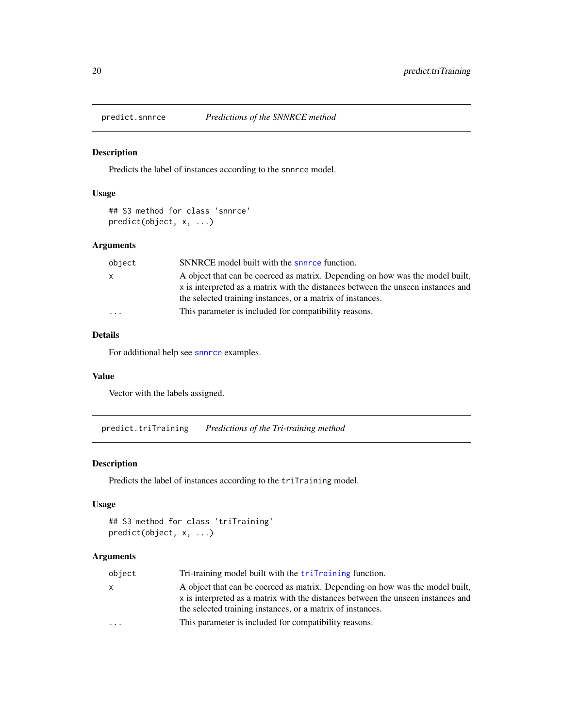<span id="page-19-0"></span>

#### Description

Predicts the label of instances according to the snnrce model.

## Usage

```
## S3 method for class 'snnrce'
predict(object, x, ...)
```
## Arguments

| object    | SNNRCE model built with the snnrce function.                                                                                                                                                                                    |
|-----------|---------------------------------------------------------------------------------------------------------------------------------------------------------------------------------------------------------------------------------|
| x         | A object that can be coerced as matrix. Depending on how was the model built,<br>x is interpreted as a matrix with the distances between the unseen instances and<br>the selected training instances, or a matrix of instances. |
| $\ddotsc$ | This parameter is included for compatibility reasons.                                                                                                                                                                           |

## Details

For additional help see [snnrce](#page-31-1) examples.

#### Value

Vector with the labels assigned.

predict.triTraining *Predictions of the Tri-training method*

#### Description

Predicts the label of instances according to the triTraining model.

#### Usage

```
## S3 method for class 'triTraining'
predict(object, x, ...)
```

| object | Tri-training model built with the triTraining function.                                                                                                                                                                         |
|--------|---------------------------------------------------------------------------------------------------------------------------------------------------------------------------------------------------------------------------------|
| X      | A object that can be coerced as matrix. Depending on how was the model built,<br>x is interpreted as a matrix with the distances between the unseen instances and<br>the selected training instances, or a matrix of instances. |
| .      | This parameter is included for compatibility reasons.                                                                                                                                                                           |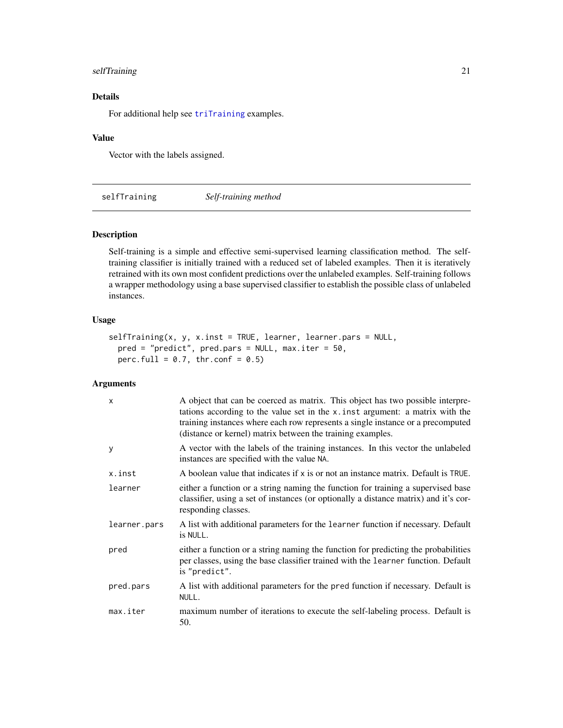## <span id="page-20-0"></span>selfTraining 21

## Details

For additional help see [triTraining](#page-33-1) examples.

#### Value

Vector with the labels assigned.

<span id="page-20-1"></span>selfTraining *Self-training method*

#### Description

Self-training is a simple and effective semi-supervised learning classification method. The selftraining classifier is initially trained with a reduced set of labeled examples. Then it is iteratively retrained with its own most confident predictions over the unlabeled examples. Self-training follows a wrapper methodology using a base supervised classifier to establish the possible class of unlabeled instances.

#### Usage

```
selfTraining(x, y, x.inst = TRUE, learner, learner.pars = NULL,
 pred = "predict", pred.pars = NULL, max.iter = 50,
 perc.full = 0.7, thr.conf = 0.5)
```

| $\mathsf{x}$ | A object that can be coerced as matrix. This object has two possible interpre-<br>tations according to the value set in the x. inst argument: a matrix with the<br>training instances where each row represents a single instance or a precomputed<br>(distance or kernel) matrix between the training examples. |
|--------------|------------------------------------------------------------------------------------------------------------------------------------------------------------------------------------------------------------------------------------------------------------------------------------------------------------------|
| y            | A vector with the labels of the training instances. In this vector the unlabeled<br>instances are specified with the value NA.                                                                                                                                                                                   |
| x.inst       | A boolean value that indicates if x is or not an instance matrix. Default is TRUE.                                                                                                                                                                                                                               |
| learner      | either a function or a string naming the function for training a supervised base<br>classifier, using a set of instances (or optionally a distance matrix) and it's cor-<br>responding classes.                                                                                                                  |
| learner.pars | A list with additional parameters for the learner function if necessary. Default<br>is NULL.                                                                                                                                                                                                                     |
| pred         | either a function or a string naming the function for predicting the probabilities<br>per classes, using the base classifier trained with the learner function. Default<br>is "predict".                                                                                                                         |
| pred.pars    | A list with additional parameters for the pred function if necessary. Default is<br>NULL.                                                                                                                                                                                                                        |
| max.iter     | maximum number of iterations to execute the self-labeling process. Default is<br>50.                                                                                                                                                                                                                             |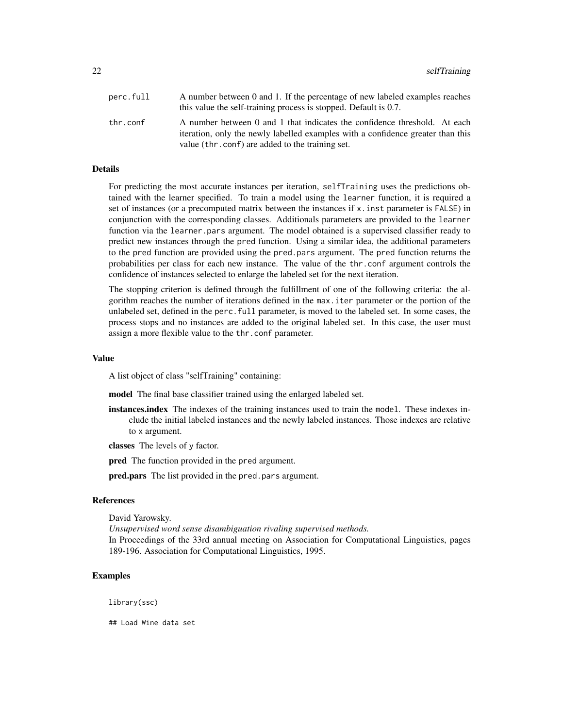| perc.full | A number between 0 and 1. If the percentage of new labeled examples reaches                                                                                  |
|-----------|--------------------------------------------------------------------------------------------------------------------------------------------------------------|
|           | this value the self-training process is stopped. Default is 0.7.                                                                                             |
| thr.conf  | A number between 0 and 1 that indicates the confidence threshold. At each<br>iteration, only the newly labelled examples with a confidence greater than this |
|           | value (thr.conf) are added to the training set.                                                                                                              |

#### Details

For predicting the most accurate instances per iteration, selfTraining uses the predictions obtained with the learner specified. To train a model using the learner function, it is required a set of instances (or a precomputed matrix between the instances if x.inst parameter is FALSE) in conjunction with the corresponding classes. Additionals parameters are provided to the learner function via the learner.pars argument. The model obtained is a supervised classifier ready to predict new instances through the pred function. Using a similar idea, the additional parameters to the pred function are provided using the pred.pars argument. The pred function returns the probabilities per class for each new instance. The value of the thr.conf argument controls the confidence of instances selected to enlarge the labeled set for the next iteration.

The stopping criterion is defined through the fulfillment of one of the following criteria: the algorithm reaches the number of iterations defined in the max.iter parameter or the portion of the unlabeled set, defined in the perc.full parameter, is moved to the labeled set. In some cases, the process stops and no instances are added to the original labeled set. In this case, the user must assign a more flexible value to the thr.conf parameter.

#### Value

A list object of class "selfTraining" containing:

model The final base classifier trained using the enlarged labeled set.

- instances.index The indexes of the training instances used to train the model. These indexes include the initial labeled instances and the newly labeled instances. Those indexes are relative to x argument.
- classes The levels of y factor.

**pred** The function provided in the pred argument.

pred.pars The list provided in the pred.pars argument.

## References

David Yarowsky.

*Unsupervised word sense disambiguation rivaling supervised methods.* In Proceedings of the 33rd annual meeting on Association for Computational Linguistics, pages 189-196. Association for Computational Linguistics, 1995.

## Examples

library(ssc)

## Load Wine data set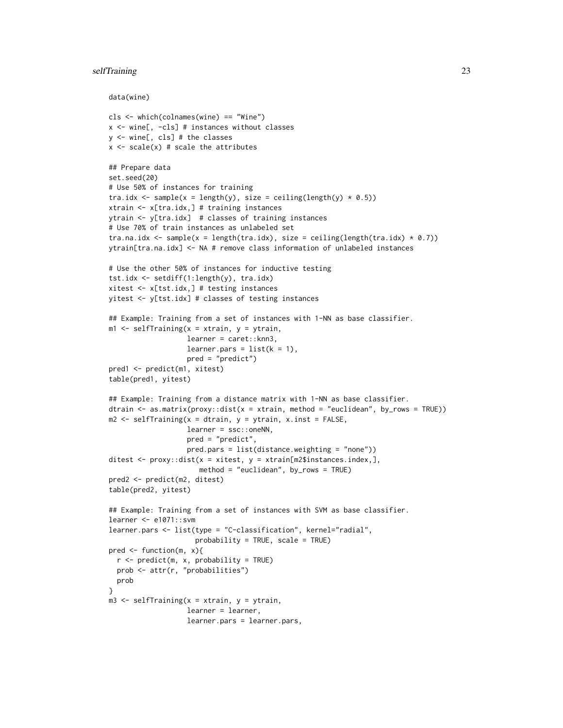## selfTraining 23

```
data(wine)
```

```
cls <- which(colnames(wine) == "Wine")
x <- wine[, -cls] # instances without classes
y <- wine[, cls] # the classes
x \leftarrow scale(x) # scale the attributes
## Prepare data
set.seed(20)
# Use 50% of instances for training
tra.idx <- sample(x = length(y), size = ceiling(length(y) * 0.5))
xtrain <- x[tra.idx,] # training instances
ytrain <- y[tra.idx] # classes of training instances
# Use 70% of train instances as unlabeled set
tra.na.idx \leq sample(x = length(tra.idx), size = ceiling(length(tra.idx) * 0.7))
ytrain[tra.na.idx] <- NA # remove class information of unlabeled instances
# Use the other 50% of instances for inductive testing
tst.idx <- setdiff(1:length(y), tra.idx)
xitest <- x[tst.idx,] # testing instances
yitest <- y[tst.idx] # classes of testing instances
## Example: Training from a set of instances with 1-NN as base classifier.
m1 <- selfTraining(x = xtrain, y = ytrain,
                   learner = caret::knn3,
                   learner.pars = list(k = 1),
                   pred = "predict")
pred1 <- predict(m1, xitest)
table(pred1, yitest)
## Example: Training from a distance matrix with 1-NN as base classifier.
dtrain \leq as.matrix(proxy::dist(x = xtrain, method = "euclidean", by_rows = TRUE))
m2 <- selfTraining(x = dtrain, y = ytrain, x.inst = FALSE,
                   learner = ssc::oneNN,
                   pred = "predict",
                   pred.pars = list(distance.weighting = "none"))
ditest \leq proxy::dist(x = xitest, y = xtrain[m2$instances.index,],
                      method = "euclidean", by_rows = TRUE)
pred2 <- predict(m2, ditest)
table(pred2, yitest)
## Example: Training from a set of instances with SVM as base classifier.
learner <- e1071::svm
learner.pars <- list(type = "C-classification", kernel="radial",
                     probability = TRUE, scale = TRUE)
pred \leq function(m, x){
  r <- predict(m, x, probability = TRUE)
  prob <- attr(r, "probabilities")
  prob
}
m3 <- selfTraining(x = xtrain, y = ytrain,
                   learner = learner,
                   learner.pars = learner.pars,
```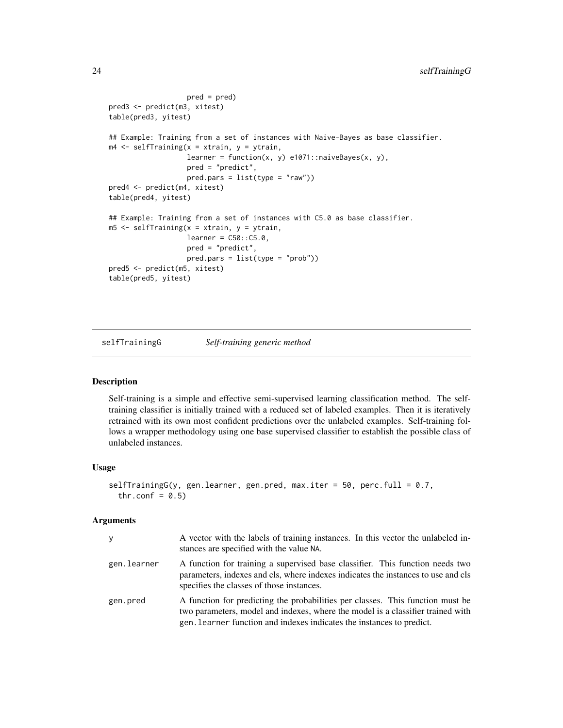```
pred = pred)
pred3 <- predict(m3, xitest)
table(pred3, yitest)
## Example: Training from a set of instances with Naive-Bayes as base classifier.
m4 <- selfTraining(x = xtrain, y = ytrain,
                   learner = function(x, y) e1071::naiveBayes(x, y),
                   pred = "predict",
                   pred.parse = list(type = "raw")pred4 <- predict(m4, xitest)
table(pred4, yitest)
## Example: Training from a set of instances with C5.0 as base classifier.
m5 <- selfTraining(x = xtrain, y = ytrain,
                   learner = C50::C5.0,pred = "predict",
                   pred.pars = list(type = "prob"))
pred5 <- predict(m5, xitest)
table(pred5, yitest)
```
selfTrainingG *Self-training generic method*

#### Description

Self-training is a simple and effective semi-supervised learning classification method. The selftraining classifier is initially trained with a reduced set of labeled examples. Then it is iteratively retrained with its own most confident predictions over the unlabeled examples. Self-training follows a wrapper methodology using one base supervised classifier to establish the possible class of unlabeled instances.

#### Usage

```
selfTrainingG(y, gen.learner, gen.pred, max.iter = 50, perc.full = 0.7,
  thr.conf = 0.5)
```

| <b>y</b>    | A vector with the labels of training instances. In this vector the unlabeled in-<br>stances are specified with the value NA.                                                                                                               |
|-------------|--------------------------------------------------------------------------------------------------------------------------------------------------------------------------------------------------------------------------------------------|
| gen.learner | A function for training a supervised base classifier. This function needs two<br>parameters, indexes and cls, where indexes indicates the instances to use and cls<br>specifies the classes of those instances.                            |
| gen.pred    | A function for predicting the probabilities per classes. This function must be<br>two parameters, model and indexes, where the model is a classifier trained with<br>gen. Learner function and indexes indicates the instances to predict. |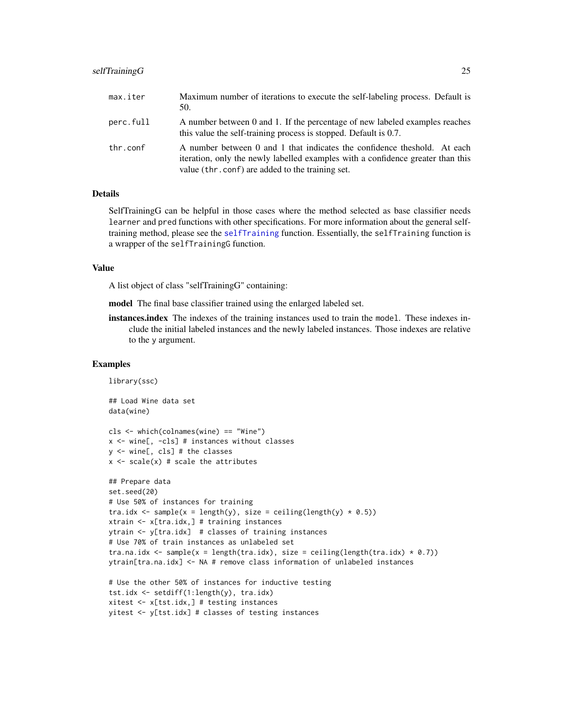#### <span id="page-24-0"></span>selfTrainingG 25

| max.iter  | Maximum number of iterations to execute the self-labeling process. Default is<br>50.                                                                                                                           |
|-----------|----------------------------------------------------------------------------------------------------------------------------------------------------------------------------------------------------------------|
| perc.full | A number between 0 and 1. If the percentage of new labeled examples reaches<br>this value the self-training process is stopped. Default is 0.7.                                                                |
| thr.conf  | A number between 0 and 1 that indicates the confidence theshold. At each<br>iteration, only the newly labelled examples with a confidence greater than this<br>value (thr.conf) are added to the training set. |

#### Details

SelfTrainingG can be helpful in those cases where the method selected as base classifier needs learner and pred functions with other specifications. For more information about the general selftraining method, please see the [selfTraining](#page-20-1) function. Essentially, the selfTraining function is a wrapper of the selfTrainingG function.

## Value

A list object of class "selfTrainingG" containing:

yitest <- y[tst.idx] # classes of testing instances

model The final base classifier trained using the enlarged labeled set.

instances.index The indexes of the training instances used to train the model. These indexes include the initial labeled instances and the newly labeled instances. Those indexes are relative to the y argument.

#### Examples

```
library(ssc)
## Load Wine data set
data(wine)
cls <- which(colnames(wine) == "Wine")
x <- wine[, -cls] # instances without classes
y <- wine[, cls] # the classes
x \leftarrow scale(x) # scale the attributes
## Prepare data
set.seed(20)
# Use 50% of instances for training
tra.idx <- sample(x = length(y), size = ceiling(length(y) * 0.5))
xtrain <- x[tra.idx,] # training instances
ytrain <- y[tra.idx] # classes of training instances
# Use 70% of train instances as unlabeled set
tra.na.idx <- sample(x = length(tra.idx), size = ceiling(length(tra.idx) * 0.7))
ytrain[tra.na.idx] <- NA # remove class information of unlabeled instances
# Use the other 50% of instances for inductive testing
tst.idx <- setdiff(1:length(y), tra.idx)
xitest <- x[tst.idx,] # testing instances
```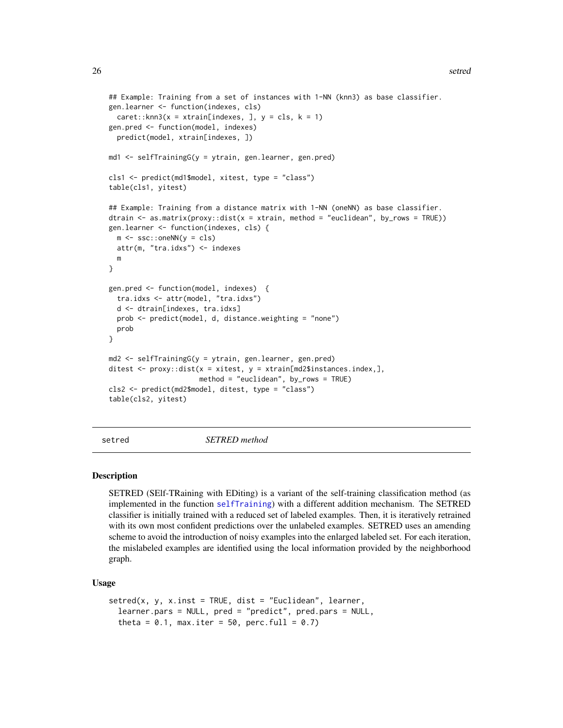```
## Example: Training from a set of instances with 1-NN (knn3) as base classifier.
gen.learner <- function(indexes, cls)
 care:knn3(x = xtrain[indexes, ], y = cls, k = 1)gen.pred <- function(model, indexes)
 predict(model, xtrain[indexes, ])
md1 <- selfTrainingG(y = ytrain, gen.learner, gen.pred)
cls1 <- predict(md1$model, xitest, type = "class")
table(cls1, yitest)
## Example: Training from a distance matrix with 1-NN (oneNN) as base classifier.
dtrain \leq as matrix(proxy::dist(x = xtrain, method = "euclidean", by_rows = TRUE))
gen.learner <- function(indexes, cls) {
 m \leq -ssc::oneNN(y = cls)attr(m, "tra.idxs") <- indexes
 m
}
gen.pred <- function(model, indexes) {
 tra.idxs <- attr(model, "tra.idxs")
 d <- dtrain[indexes, tra.idxs]
 prob <- predict(model, d, distance.weighting = "none")
 prob
}
md2 <- selfTrainingG(y = ytrain, gen.learner, gen.pred)
ditest \leq proxy::dist(x = xitest, y = xtrain[md2$instances.index,],
                      method = "euclidean", by_rows = TRUE)
cls2 <- predict(md2$model, ditest, type = "class")
table(cls2, yitest)
```
<span id="page-25-1"></span>setred *SETRED method*

#### Description

SETRED (SElf-TRaining with EDiting) is a variant of the self-training classification method (as implemented in the function [selfTraining](#page-20-1)) with a different addition mechanism. The SETRED classifier is initially trained with a reduced set of labeled examples. Then, it is iteratively retrained with its own most confident predictions over the unlabeled examples. SETRED uses an amending scheme to avoid the introduction of noisy examples into the enlarged labeled set. For each iteration, the mislabeled examples are identified using the local information provided by the neighborhood graph.

#### Usage

```
setred(x, y, x.inst = TRUE, dist = "Euclidean", learner,learner.pars = NULL, pred = "predict", pred.pars = NULL,
 theta = 0.1, max.iter = 50, perc.full = 0.7)
```
<span id="page-25-0"></span>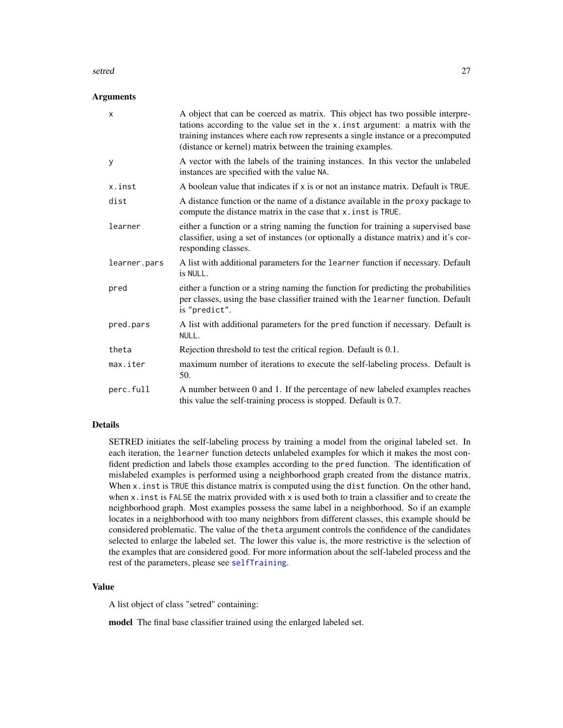#### <span id="page-26-0"></span>setred 27

#### Arguments

| $\times$     | A object that can be coerced as matrix. This object has two possible interpre-<br>tations according to the value set in the x. inst argument: a matrix with the<br>training instances where each row represents a single instance or a precomputed<br>(distance or kernel) matrix between the training examples. |
|--------------|------------------------------------------------------------------------------------------------------------------------------------------------------------------------------------------------------------------------------------------------------------------------------------------------------------------|
| y            | A vector with the labels of the training instances. In this vector the unlabeled<br>instances are specified with the value NA.                                                                                                                                                                                   |
| x.inst       | A boolean value that indicates if x is or not an instance matrix. Default is TRUE.                                                                                                                                                                                                                               |
| dist         | A distance function or the name of a distance available in the proxy package to<br>compute the distance matrix in the case that x. inst is TRUE.                                                                                                                                                                 |
| learner      | either a function or a string naming the function for training a supervised base<br>classifier, using a set of instances (or optionally a distance matrix) and it's cor-<br>responding classes.                                                                                                                  |
| learner.pars | A list with additional parameters for the learner function if necessary. Default<br>is NULL.                                                                                                                                                                                                                     |
| pred         | either a function or a string naming the function for predicting the probabilities<br>per classes, using the base classifier trained with the learner function. Default<br>is "predict".                                                                                                                         |
| pred.pars    | A list with additional parameters for the pred function if necessary. Default is<br>NULL.                                                                                                                                                                                                                        |
| theta        | Rejection threshold to test the critical region. Default is 0.1.                                                                                                                                                                                                                                                 |
| max.iter     | maximum number of iterations to execute the self-labeling process. Default is<br>50.                                                                                                                                                                                                                             |
| perc.full    | A number between 0 and 1. If the percentage of new labeled examples reaches<br>this value the self-training process is stopped. Default is 0.7.                                                                                                                                                                  |

## Details

SETRED initiates the self-labeling process by training a model from the original labeled set. In each iteration, the learner function detects unlabeled examples for which it makes the most confident prediction and labels those examples according to the pred function. The identification of mislabeled examples is performed using a neighborhood graph created from the distance matrix. When x. inst is TRUE this distance matrix is computed using the dist function. On the other hand, when x inst is FALSE the matrix provided with x is used both to train a classifier and to create the neighborhood graph. Most examples possess the same label in a neighborhood. So if an example locates in a neighborhood with too many neighbors from different classes, this example should be considered problematic. The value of the theta argument controls the confidence of the candidates selected to enlarge the labeled set. The lower this value is, the more restrictive is the selection of the examples that are considered good. For more information about the self-labeled process and the rest of the parameters, please see [selfTraining](#page-20-1).

#### Value

A list object of class "setred" containing:

model The final base classifier trained using the enlarged labeled set.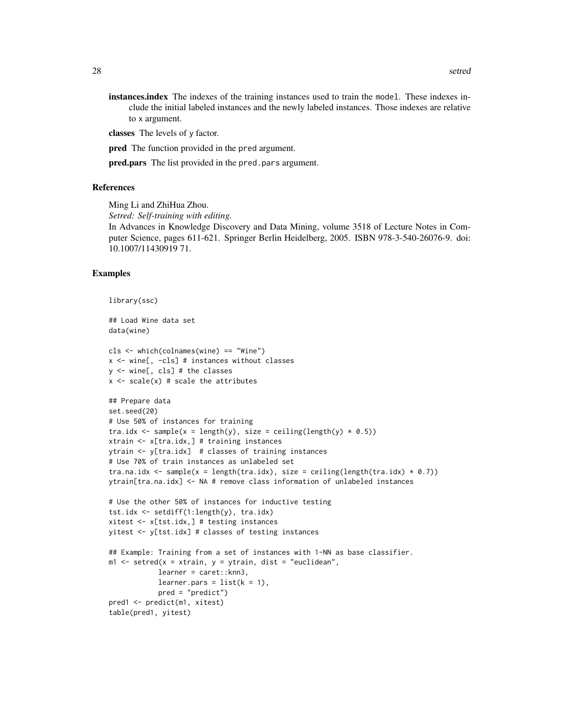instances.index The indexes of the training instances used to train the model. These indexes include the initial labeled instances and the newly labeled instances. Those indexes are relative to x argument.

classes The levels of y factor.

pred The function provided in the pred argument.

pred.pars The list provided in the pred.pars argument.

#### References

Ming Li and ZhiHua Zhou.

*Setred: Self-training with editing.*

In Advances in Knowledge Discovery and Data Mining, volume 3518 of Lecture Notes in Computer Science, pages 611-621. Springer Berlin Heidelberg, 2005. ISBN 978-3-540-26076-9. doi: 10.1007/11430919 71.

#### Examples

```
library(ssc)
```
## Load Wine data set data(wine)

```
cls <- which(colnames(wine) == "Wine")
x <- wine[, -cls] # instances without classes
y <- wine[, cls] # the classes
x \leftarrow scale(x) # scale the attributes
```

```
## Prepare data
set.seed(20)
# Use 50% of instances for training
tra.idx <- sample(x = length(y), size = ceiling(length(y) * 0.5))
xtrain <- x[tra.idx,] # training instances
ytrain <- y[tra.idx] # classes of training instances
# Use 70% of train instances as unlabeled set
tra.na.idx <- sample(x = length(tra.idx), size = ceiling(length(tra.idx) * 0.7))
ytrain[tra.na.idx] <- NA # remove class information of unlabeled instances
```

```
# Use the other 50% of instances for inductive testing
tst.idx <- setdiff(1:length(y), tra.idx)
xitest <- x[tst.idx,] # testing instances
yitest <- y[tst.idx] # classes of testing instances
```

```
## Example: Training from a set of instances with 1-NN as base classifier.
m1 <- setred(x = xtrain, y = ytrain, dist = "euclidean",
            learner = caret::knn3,
            learner.pars = list(k = 1),
            pred = "predict")
pred1 <- predict(m1, xitest)
table(pred1, yitest)
```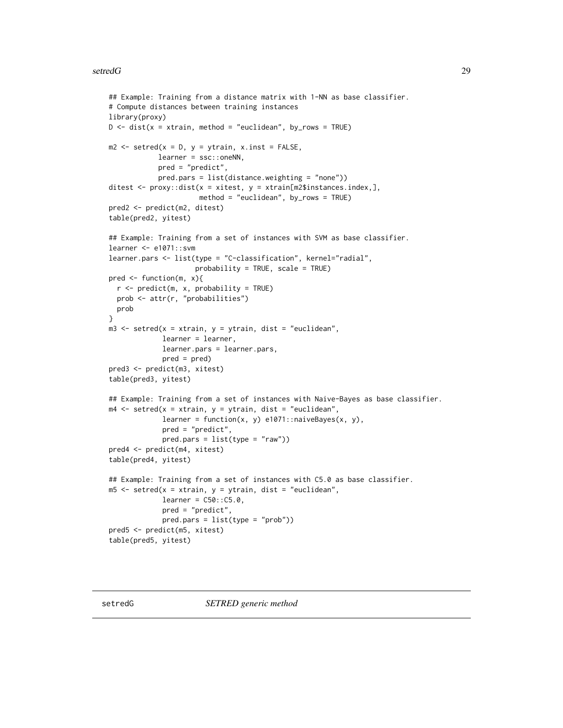#### <span id="page-28-0"></span>setredG 29

```
## Example: Training from a distance matrix with 1-NN as base classifier.
# Compute distances between training instances
library(proxy)
D \le - dist(x = xtrain, method = "euclidean", by_rows = TRUE)
m2 \le - setred(x = D, y = ytrain, x.inst = FALSE,
            learner = ssc::oneNN,
            pred = "predict",
            pred.pars = list(distance.weighting = "none"))
ditest \leq proxy::dist(x = xitest, y = xtrain[m2$instances.index,],
                      method = "euclidean", by_rows = TRUE)
pred2 <- predict(m2, ditest)
table(pred2, yitest)
## Example: Training from a set of instances with SVM as base classifier.
learner <- e1071::svm
learner.pars <- list(type = "C-classification", kernel="radial",
                     probability = TRUE, scale = TRUE)
pred \leq function(m, x){
  r <- predict(m, x, probability = TRUE)
  prob <- attr(r, "probabilities")
  prob
}
m3 \le setred(x = xtrain, y = ytrain, dist = "euclidean",
             learner = learner,
             learner.pars = learner.pars,
             pred = pred)
pred3 <- predict(m3, xitest)
table(pred3, yitest)
## Example: Training from a set of instances with Naive-Bayes as base classifier.
m4 \le setred(x = xtrain, y = ytrain, dist = "euclidean",
             learner = function(x, y) e1071::naiveBayes(x, y),
             pred = "predict",
             pred.pars = list(type = "raw"))
pred4 <- predict(m4, xitest)
table(pred4, yitest)
## Example: Training from a set of instances with C5.0 as base classifier.
m5 <- setred(x = xtrain, y = ytrain, dist = "euclidean",
             learner = C50::C5.0,pred = "predict",
             pred.pars = list(type = "prob"))
pred5 <- predict(m5, xitest)
table(pred5, yitest)
```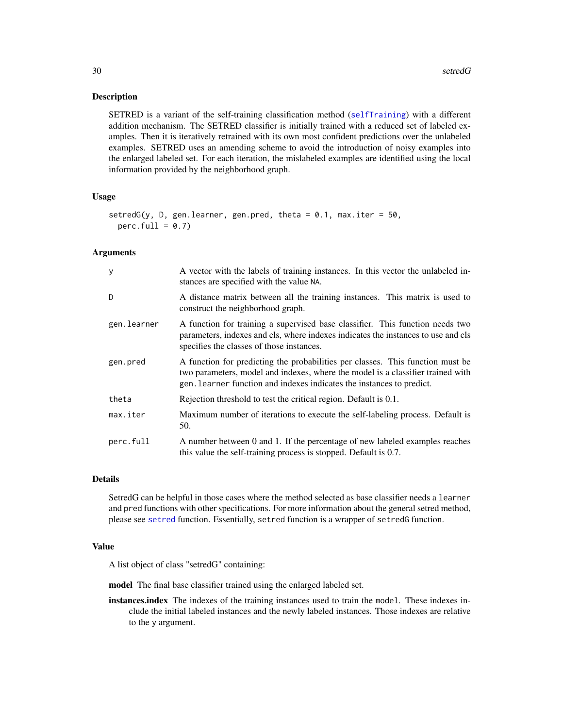#### <span id="page-29-0"></span>Description

SETRED is a variant of the self-training classification method ([selfTraining](#page-20-1)) with a different addition mechanism. The SETRED classifier is initially trained with a reduced set of labeled examples. Then it is iteratively retrained with its own most confident predictions over the unlabeled examples. SETRED uses an amending scheme to avoid the introduction of noisy examples into the enlarged labeled set. For each iteration, the mislabeled examples are identified using the local information provided by the neighborhood graph.

#### Usage

```
setredG(y, D, gen.learner, gen.pred, theta = 0.1, max.iter = 50,
 perc.full = 0.7)
```
## Arguments

| У           | A vector with the labels of training instances. In this vector the unlabeled in-<br>stances are specified with the value NA.                                                                                                               |
|-------------|--------------------------------------------------------------------------------------------------------------------------------------------------------------------------------------------------------------------------------------------|
| D           | A distance matrix between all the training instances. This matrix is used to<br>construct the neighborhood graph.                                                                                                                          |
| gen.learner | A function for training a supervised base classifier. This function needs two<br>parameters, indexes and cls, where indexes indicates the instances to use and cls<br>specifies the classes of those instances.                            |
| gen.pred    | A function for predicting the probabilities per classes. This function must be<br>two parameters, model and indexes, where the model is a classifier trained with<br>gen. Learner function and indexes indicates the instances to predict. |
| theta       | Rejection threshold to test the critical region. Default is 0.1.                                                                                                                                                                           |
| max.iter    | Maximum number of iterations to execute the self-labeling process. Default is<br>50.                                                                                                                                                       |
| perc.full   | A number between 0 and 1. If the percentage of new labeled examples reaches<br>this value the self-training process is stopped. Default is 0.7.                                                                                            |

#### Details

SetredG can be helpful in those cases where the method selected as base classifier needs a learner and pred functions with other specifications. For more information about the general setred method, please see [setred](#page-25-1) function. Essentially, setred function is a wrapper of setredG function.

#### Value

A list object of class "setredG" containing:

model The final base classifier trained using the enlarged labeled set.

instances.index The indexes of the training instances used to train the model. These indexes include the initial labeled instances and the newly labeled instances. Those indexes are relative to the y argument.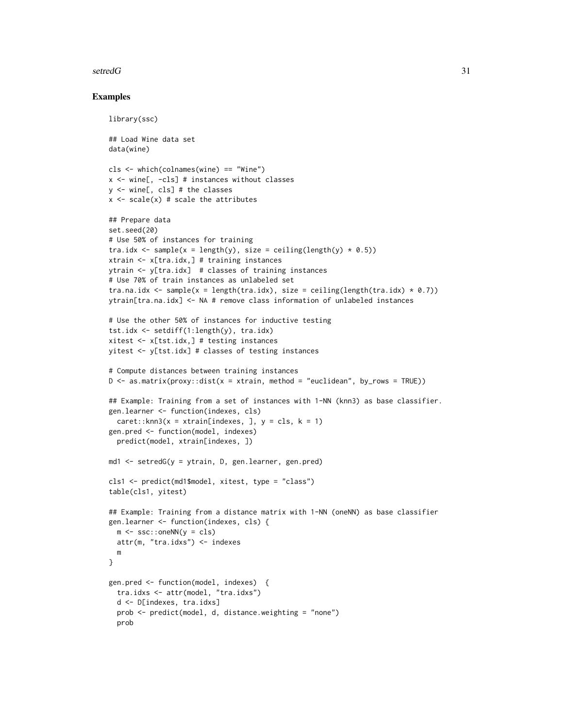#### setredG 31

#### Examples

```
library(ssc)
## Load Wine data set
data(wine)
cls <- which(colnames(wine) == "Wine")
x <- wine[, -cls] # instances without classes
y <- wine[, cls] # the classes
x \leftarrow scale(x) # scale the attributes
## Prepare data
set.seed(20)
# Use 50% of instances for training
tra.idx \leq sample(x = length(y), size = ceiling(length(y) * 0.5))
xtrain <- x[tra.idx,] # training instances
ytrain <- y[tra.idx] # classes of training instances
# Use 70% of train instances as unlabeled set
tra.na.idx <- sample(x = length(tra.idx), size = ceiling(length(tra.idx) * 0.7))
ytrain[tra.na.idx] <- NA # remove class information of unlabeled instances
# Use the other 50% of instances for inductive testing
tst.idx <- setdiff(1:length(y), tra.idx)
xitest <- x[tst.idx,] # testing instances
yitest <- y[tst.idx] # classes of testing instances
# Compute distances between training instances
D \le - as.matrix(proxy::dist(x = xtrain, method = "euclidean", by_rows = TRUE))
## Example: Training from a set of instances with 1-NN (knn3) as base classifier.
gen.learner <- function(indexes, cls)
  caret::knn3(x = xtrain[indexes, ], y = cls, k = 1)gen.pred <- function(model, indexes)
  predict(model, xtrain[indexes, ])
md1 \le setredG(y = ytrain, D, gen.learner, gen.pred)
cls1 <- predict(md1$model, xitest, type = "class")
table(cls1, yitest)
## Example: Training from a distance matrix with 1-NN (oneNN) as base classifier
gen.learner <- function(indexes, cls) {
  m \leq -ssc::oneNN(y = cls)attr(m, "tra.idxs") <- indexes
  m
}
gen.pred <- function(model, indexes) {
  tra.idxs <- attr(model, "tra.idxs")
  d <- D[indexes, tra.idxs]
  prob <- predict(model, d, distance.weighting = "none")
  prob
```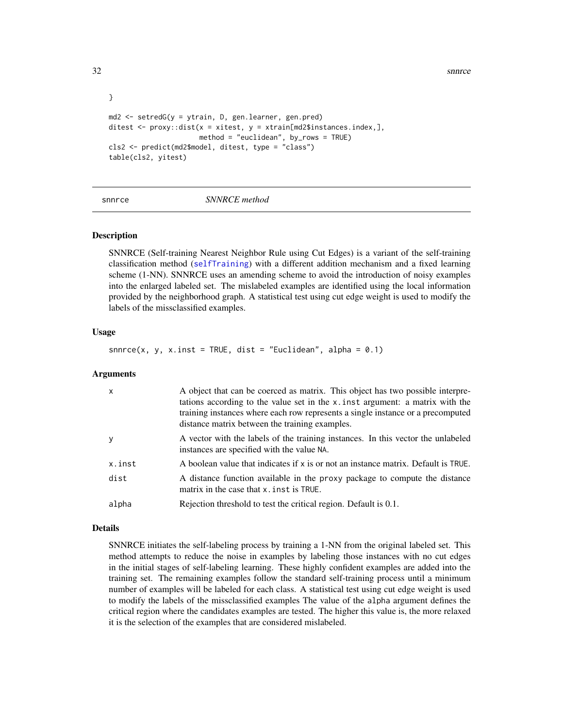32 snnrce

```
}
md2 <- setredG(y = ytrain, D, gen.learner, gen.pred)
ditest \leq proxy::dist(x = xitest, y = xtrain[md2$instances.index,],
                      method = "euclidean", by_rows = TRUE)
cls2 <- predict(md2$model, ditest, type = "class")
table(cls2, yitest)
```
<span id="page-31-1"></span>

snnrce *SNNRCE method*

#### Description

SNNRCE (Self-training Nearest Neighbor Rule using Cut Edges) is a variant of the self-training classification method ([selfTraining](#page-20-1)) with a different addition mechanism and a fixed learning scheme (1-NN). SNNRCE uses an amending scheme to avoid the introduction of noisy examples into the enlarged labeled set. The mislabeled examples are identified using the local information provided by the neighborhood graph. A statistical test using cut edge weight is used to modify the labels of the missclassified examples.

#### Usage

snnrce(x, y, x.inst = TRUE, dist = "Euclidean", alpha =  $0.1$ )

#### Arguments

| $\times$ | A object that can be coerced as matrix. This object has two possible interpre-<br>tations according to the value set in the x inst argument: a matrix with the<br>training instances where each row represents a single instance or a precomputed<br>distance matrix between the training examples. |
|----------|-----------------------------------------------------------------------------------------------------------------------------------------------------------------------------------------------------------------------------------------------------------------------------------------------------|
| y        | A vector with the labels of the training instances. In this vector the unlabeled<br>instances are specified with the value NA.                                                                                                                                                                      |
| x.inst   | A boolean value that indicates if $x$ is or not an instance matrix. Default is TRUE.                                                                                                                                                                                                                |
| dist     | A distance function available in the proxy package to compute the distance<br>matrix in the case that x, inst is TRUE.                                                                                                                                                                              |
| alpha    | Rejection threshold to test the critical region. Default is 0.1.                                                                                                                                                                                                                                    |

#### Details

SNNRCE initiates the self-labeling process by training a 1-NN from the original labeled set. This method attempts to reduce the noise in examples by labeling those instances with no cut edges in the initial stages of self-labeling learning. These highly confident examples are added into the training set. The remaining examples follow the standard self-training process until a minimum number of examples will be labeled for each class. A statistical test using cut edge weight is used to modify the labels of the missclassified examples The value of the alpha argument defines the critical region where the candidates examples are tested. The higher this value is, the more relaxed it is the selection of the examples that are considered mislabeled.

<span id="page-31-0"></span>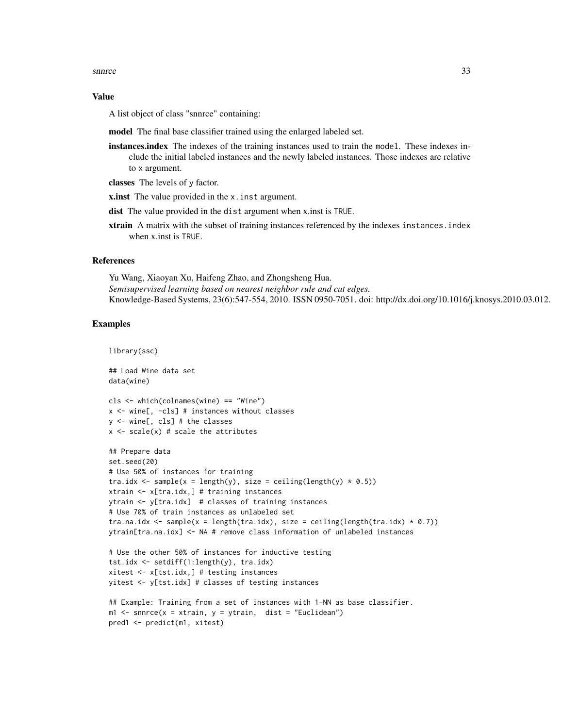snnrce 33

#### Value

A list object of class "snnrce" containing:

model The final base classifier trained using the enlarged labeled set.

instances.index The indexes of the training instances used to train the model. These indexes include the initial labeled instances and the newly labeled instances. Those indexes are relative to x argument.

classes The levels of y factor.

**x.inst** The value provided in the x. inst argument.

dist The value provided in the dist argument when x.inst is TRUE.

xtrain A matrix with the subset of training instances referenced by the indexes instances. index when x inst is TRUE.

#### **References**

Yu Wang, Xiaoyan Xu, Haifeng Zhao, and Zhongsheng Hua. *Semisupervised learning based on nearest neighbor rule and cut edges.* Knowledge-Based Systems, 23(6):547-554, 2010. ISSN 0950-7051. doi: http://dx.doi.org/10.1016/j.knosys.2010.03.012.

#### Examples

```
library(ssc)
## Load Wine data set
data(wine)
cls <- which(colnames(wine) == "Wine")
x <- wine[, -cls] # instances without classes
y <- wine[, cls] # the classes
```
 $x \leftarrow scale(x)$  # scale the attributes

```
## Prepare data
set.seed(20)
# Use 50% of instances for training
tra.idx <- sample(x = length(y), size = ceiling(length(y) * 0.5))
xtrain <- x[tra.idx,] # training instances
ytrain <- y[tra.idx] # classes of training instances
# Use 70% of train instances as unlabeled set
tra.na.idx \leq sample(x = length(tra.idx), size = ceiling(length(tra.idx) \neq 0.7))
ytrain[tra.na.idx] <- NA # remove class information of unlabeled instances
```

```
# Use the other 50% of instances for inductive testing
tst.idx <- setdiff(1:length(y), tra.idx)
xitest <- x[tst.idx,] # testing instances
yitest <- y[tst.idx] # classes of testing instances
```

```
## Example: Training from a set of instances with 1-NN as base classifier.
m1 <- snnrce(x = xtrain, y = ytrain, dist = "Euclidean")
pred1 <- predict(m1, xitest)
```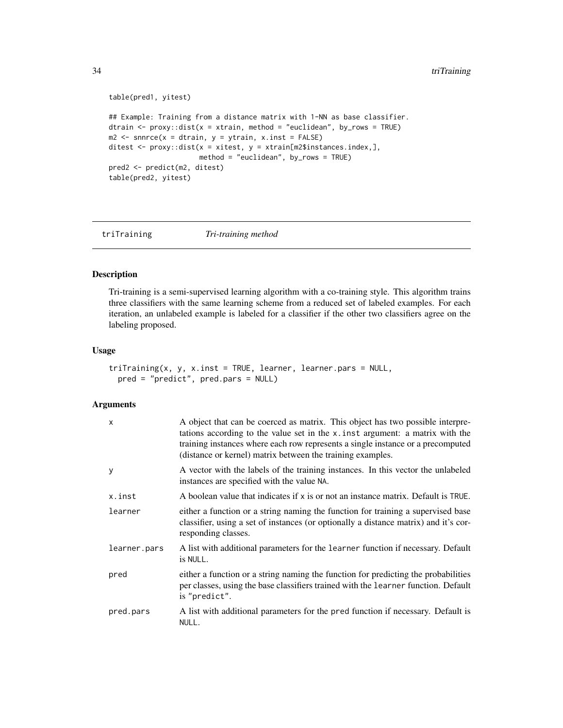```
table(pred1, yitest)
## Example: Training from a distance matrix with 1-NN as base classifier.
dtrain \leq proxy::dist(x = xtrain, method = "euclidean", by_rows = TRUE)
m2 \leq -\text{snnrce}(x = \text{dtrain}, y = \text{ytrain}, x \text{.inst} = \text{FALSE})ditest \leq proxy::dist(x = xitest, y = xtrain[m2$instances.index,],
                        method = "euclidean", by_rows = TRUE)
pred2 <- predict(m2, ditest)
table(pred2, yitest)
```
<span id="page-33-1"></span>triTraining *Tri-training method*

#### Description

Tri-training is a semi-supervised learning algorithm with a co-training style. This algorithm trains three classifiers with the same learning scheme from a reduced set of labeled examples. For each iteration, an unlabeled example is labeled for a classifier if the other two classifiers agree on the labeling proposed.

#### Usage

```
triTraining(x, y, x.inst = TRUE, learner, learner.pars = NULL,
 pred = "predict", pred.pars = NULL)
```

| $\mathsf{x}$ | A object that can be coerced as matrix. This object has two possible interpre-<br>tations according to the value set in the x. inst argument: a matrix with the<br>training instances where each row represents a single instance or a precomputed<br>(distance or kernel) matrix between the training examples. |
|--------------|------------------------------------------------------------------------------------------------------------------------------------------------------------------------------------------------------------------------------------------------------------------------------------------------------------------|
| У            | A vector with the labels of the training instances. In this vector the unlabeled<br>instances are specified with the value NA.                                                                                                                                                                                   |
| x.inst       | A boolean value that indicates if x is or not an instance matrix. Default is TRUE.                                                                                                                                                                                                                               |
| learner      | either a function or a string naming the function for training a supervised base<br>classifier, using a set of instances (or optionally a distance matrix) and it's cor-<br>responding classes.                                                                                                                  |
| learner.pars | A list with additional parameters for the learner function if necessary. Default<br>is NULL.                                                                                                                                                                                                                     |
| pred         | either a function or a string naming the function for predicting the probabilities<br>per classes, using the base classifiers trained with the learner function. Default<br>is "predict".                                                                                                                        |
| pred.pars    | A list with additional parameters for the pred function if necessary. Default is<br>NULL.                                                                                                                                                                                                                        |

<span id="page-33-0"></span>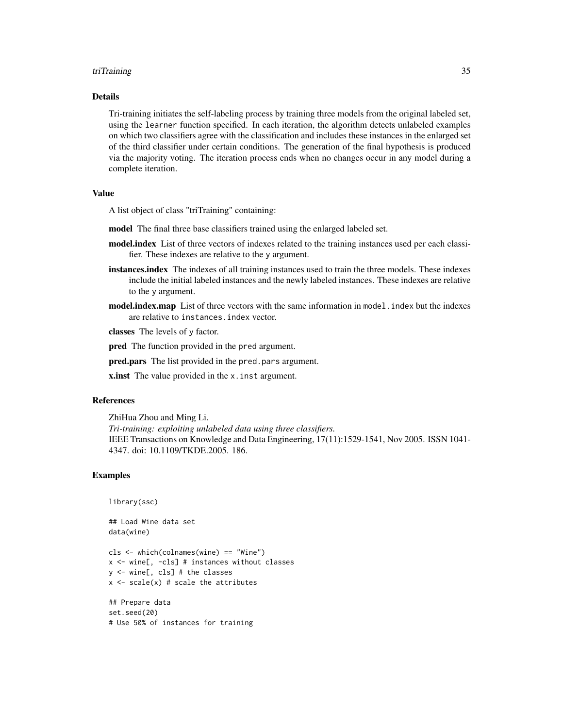#### triTraining 35

#### Details

Tri-training initiates the self-labeling process by training three models from the original labeled set, using the learner function specified. In each iteration, the algorithm detects unlabeled examples on which two classifiers agree with the classification and includes these instances in the enlarged set of the third classifier under certain conditions. The generation of the final hypothesis is produced via the majority voting. The iteration process ends when no changes occur in any model during a complete iteration.

#### Value

A list object of class "triTraining" containing:

model The final three base classifiers trained using the enlarged labeled set.

- model.index List of three vectors of indexes related to the training instances used per each classifier. These indexes are relative to the y argument.
- instances. index The indexes of all training instances used to train the three models. These indexes include the initial labeled instances and the newly labeled instances. These indexes are relative to the y argument.
- **model.index.map** List of three vectors with the same information in model. index but the indexes are relative to instances.index vector.

classes The levels of y factor.

**pred** The function provided in the pred argument.

**pred.pars** The list provided in the pred.pars argument.

**x** inst The value provided in the x. inst argument.

#### References

ZhiHua Zhou and Ming Li.

*Tri-training: exploiting unlabeled data using three classifiers.* IEEE Transactions on Knowledge and Data Engineering, 17(11):1529-1541, Nov 2005. ISSN 1041- 4347. doi: 10.1109/TKDE.2005. 186.

#### Examples

```
library(ssc)
```
## Load Wine data set data(wine)

cls <- which(colnames(wine) == "Wine") x <- wine[, -cls] # instances without classes y <- wine[, cls] # the classes  $x \leftarrow scale(x)$  # scale the attributes

## Prepare data set.seed(20) # Use 50% of instances for training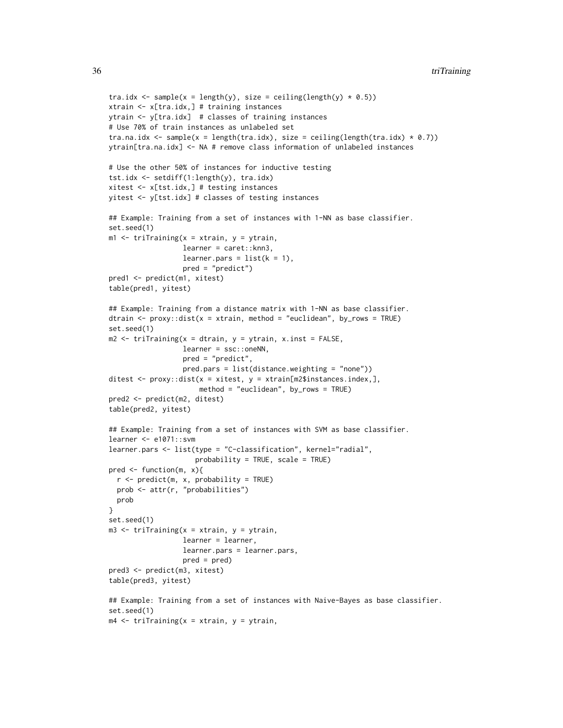```
tra.idx <- sample(x = length(y), size = ceiling(length(y) * 0.5))
xtrain <- x[tra.idx,] # training instances
ytrain <- y[tra.idx] # classes of training instances
# Use 70% of train instances as unlabeled set
tra.na.idx <- sample(x = length(tra.idx), size = ceiling(length(tra.idx) * 0.7))
ytrain[tra.na.idx] <- NA # remove class information of unlabeled instances
# Use the other 50% of instances for inductive testing
tst.idx <- setdiff(1:length(y), tra.idx)
xitest <- x[tst.idx,] # testing instances
yitest <- y[tst.idx] # classes of testing instances
## Example: Training from a set of instances with 1-NN as base classifier.
set.seed(1)
m1 <- triTraining(x = xtrain, y = ytrain,
                  learner = caret::knn3,
                  learner.pars = list(k = 1),
                  pred = "predict")
pred1 <- predict(m1, xitest)
table(pred1, yitest)
## Example: Training from a distance matrix with 1-NN as base classifier.
dtrain \leq proxy::dist(x = xtrain, method = "euclidean", by_rows = TRUE)
set.seed(1)
m2 <- triTraining(x = dtrain, y = ytrain, x.inst = FALSE,
                  learner = ssc::oneNN,
                  pred = "predict",
                  pred.pars = list(distance.weighting = "none"))
ditest \leq proxy::dist(x = xitest, y = xtrain[m2$instances.index,],
                      method = "euclidean", by_rows = TRUE)
pred2 <- predict(m2, ditest)
table(pred2, yitest)
## Example: Training from a set of instances with SVM as base classifier.
learner <- e1071::svm
learner.pars <- list(type = "C-classification", kernel="radial",
                     probability = TRUE, scale = TRUE)
pred \leq function(m, x){
  r <- predict(m, x, probability = TRUE)
  prob <- attr(r, "probabilities")
  prob
}
set.seed(1)
m3 <- triTraining(x = xtrain, y = ytrain,
                  learner = learner,
                  learner.pars = learner.pars,
                  pred = pred)
pred3 <- predict(m3, xitest)
table(pred3, yitest)
## Example: Training from a set of instances with Naive-Bayes as base classifier.
set.seed(1)
m4 \le- triTraining(x = xtrain, y = ytrain,
```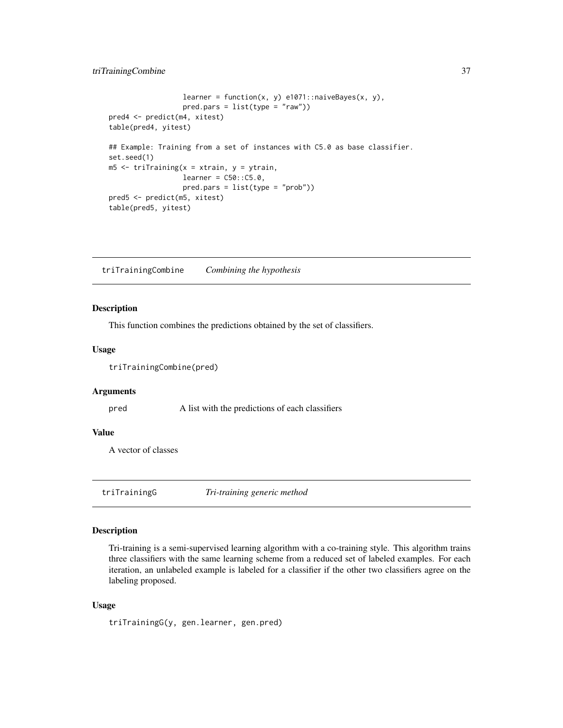## <span id="page-36-0"></span>triTrainingCombine 37

```
learner = function(x, y) e1071::naiveBayes(x, y),
                  pred.parse = list(type = "raw")pred4 <- predict(m4, xitest)
table(pred4, yitest)
## Example: Training from a set of instances with C5.0 as base classifier.
set.seed(1)
m5 <- triTraining(x = xtrain, y = ytrain,
                 learner = C50::C5.0,pred.pars = list(type = "prob"))
pred5 <- predict(m5, xitest)
table(pred5, yitest)
```
triTrainingCombine *Combining the hypothesis*

#### Description

This function combines the predictions obtained by the set of classifiers.

#### Usage

triTrainingCombine(pred)

#### Arguments

pred A list with the predictions of each classifiers

#### Value

A vector of classes

triTrainingG *Tri-training generic method*

## Description

Tri-training is a semi-supervised learning algorithm with a co-training style. This algorithm trains three classifiers with the same learning scheme from a reduced set of labeled examples. For each iteration, an unlabeled example is labeled for a classifier if the other two classifiers agree on the labeling proposed.

#### Usage

triTrainingG(y, gen.learner, gen.pred)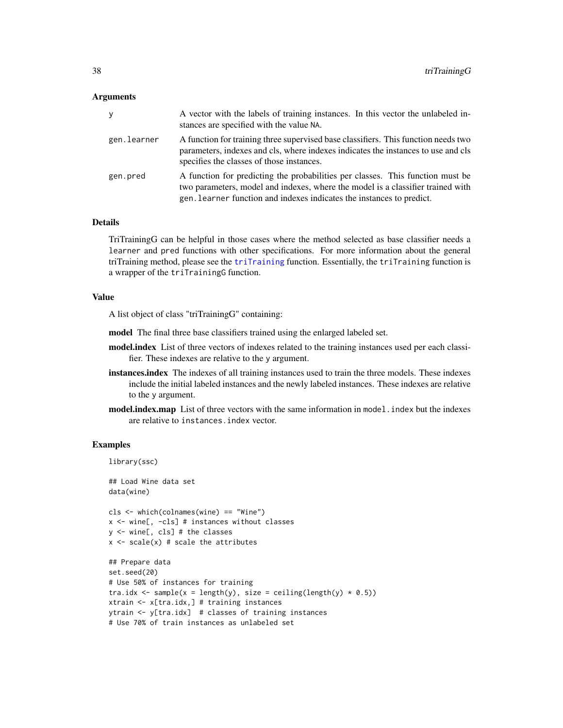#### <span id="page-37-0"></span>Arguments

| v           | A vector with the labels of training instances. In this vector the unlabeled in-<br>stances are specified with the value NA.                                                                                                               |
|-------------|--------------------------------------------------------------------------------------------------------------------------------------------------------------------------------------------------------------------------------------------|
| gen.learner | A function for training three supervised base classifiers. This function needs two<br>parameters, indexes and cls, where indexes indicates the instances to use and cls<br>specifies the classes of those instances.                       |
| gen.pred    | A function for predicting the probabilities per classes. This function must be<br>two parameters, model and indexes, where the model is a classifier trained with<br>gen. Learner function and indexes indicates the instances to predict. |

## Details

TriTrainingG can be helpful in those cases where the method selected as base classifier needs a learner and pred functions with other specifications. For more information about the general triTraining method, please see the [triTraining](#page-33-1) function. Essentially, the triTraining function is a wrapper of the triTrainingG function.

## Value

A list object of class "triTrainingG" containing:

model The final three base classifiers trained using the enlarged labeled set.

- model.index List of three vectors of indexes related to the training instances used per each classifier. These indexes are relative to the y argument.
- instances.index The indexes of all training instances used to train the three models. These indexes include the initial labeled instances and the newly labeled instances. These indexes are relative to the y argument.
- model.index.map List of three vectors with the same information in model. index but the indexes are relative to instances.index vector.

#### Examples

```
library(ssc)
## Load Wine data set
data(wine)
cls <- which(colnames(wine) == "Wine")
x <- wine[, -cls] # instances without classes
y <- wine[, cls] # the classes
x \leftarrow scale(x) # scale the attributes
## Prepare data
set.seed(20)
# Use 50% of instances for training
tra.idx <- sample(x = length(y), size = ceiling(length(y) * 0.5))
xtrain <- x[tra.idx,] # training instances
ytrain <- y[tra.idx] # classes of training instances
# Use 70% of train instances as unlabeled set
```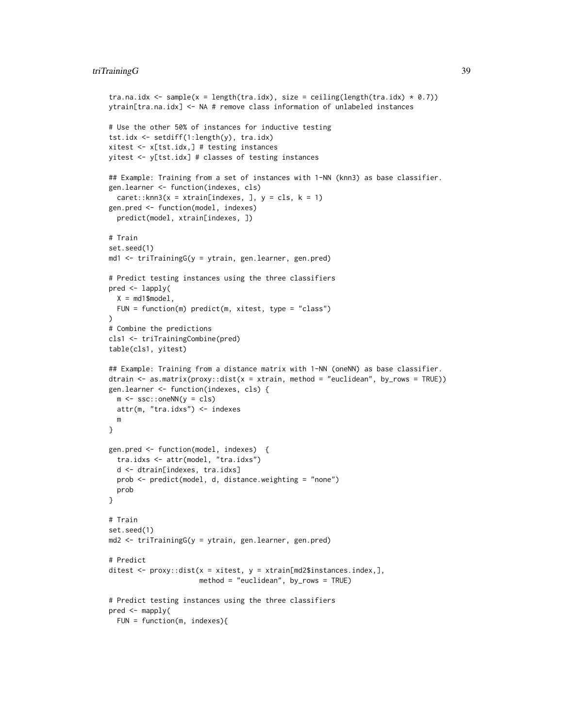## triTrainingG 39

```
tra.na.idx <- sample(x = length(tra.idx), size = ceiling(length(tra.idx) * 0.7))
ytrain[tra.na.idx] <- NA # remove class information of unlabeled instances
# Use the other 50% of instances for inductive testing
tst.idx <- setdiff(1:length(y), tra.idx)
xitest <- x[tst.idx,] # testing instances
yitest <- y[tst.idx] # classes of testing instances
## Example: Training from a set of instances with 1-NN (knn3) as base classifier.
gen.learner <- function(indexes, cls)
  care:knn3(x = xtrain[indexes, ], y = cls, k = 1)gen.pred <- function(model, indexes)
  predict(model, xtrain[indexes, ])
# Train
set.seed(1)
md1 <- triTrainingG(y = ytrain, gen.learner, gen.pred)
# Predict testing instances using the three classifiers
pred <- lapply(
  X = md1$model,
  FUN = function(m) predict(m, xitest, type = "class")
\lambda# Combine the predictions
cls1 <- triTrainingCombine(pred)
table(cls1, yitest)
## Example: Training from a distance matrix with 1-NN (oneNN) as base classifier.
dtrain \leq as.matrix(proxy::dist(x = xtrain, method = "euclidean", by_rows = TRUE))
gen.learner <- function(indexes, cls) {
 m \leq -ssc::oneNN(y = cls)attr(m, "tra.idxs") <- indexes
  m
}
gen.pred <- function(model, indexes) {
  tra.idxs <- attr(model, "tra.idxs")
  d <- dtrain[indexes, tra.idxs]
  prob <- predict(model, d, distance.weighting = "none")
  prob
}
# Train
set.seed(1)
md2 <- triTrainingG(y = ytrain, gen.learner, gen.pred)
# Predict
ditest \leq proxy::dist(x = xitest, y = xtrain[md2$instances.index,],
                      method = "euclidean", by_rows = TRUE)
# Predict testing instances using the three classifiers
pred <- mapply(
  FUN = function(m, indexes){
```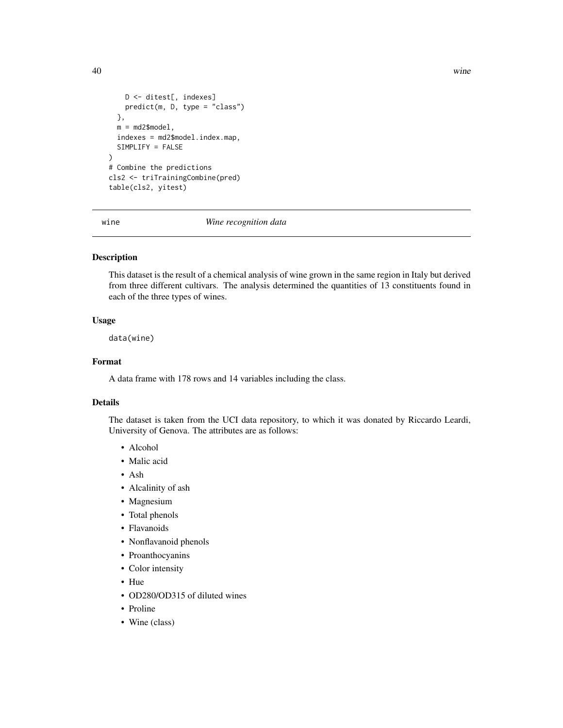```
D <- ditest[, indexes]
   predict(m, D, type = "class")
  },
  m = md2$model,
  indexes = md2$model.index.map,
  SIMPLIFY = FALSE
)
# Combine the predictions
cls2 <- triTrainingCombine(pred)
table(cls2, yitest)
```
wine *Wine recognition data*

## Description

This dataset is the result of a chemical analysis of wine grown in the same region in Italy but derived from three different cultivars. The analysis determined the quantities of 13 constituents found in each of the three types of wines.

#### Usage

data(wine)

#### Format

A data frame with 178 rows and 14 variables including the class.

#### Details

The dataset is taken from the UCI data repository, to which it was donated by Riccardo Leardi, University of Genova. The attributes are as follows:

- Alcohol
- Malic acid
- Ash
- Alcalinity of ash
- Magnesium
- Total phenols
- Flavanoids
- Nonflavanoid phenols
- Proanthocyanins
- Color intensity
- Hue
- OD280/OD315 of diluted wines
- Proline
- Wine (class)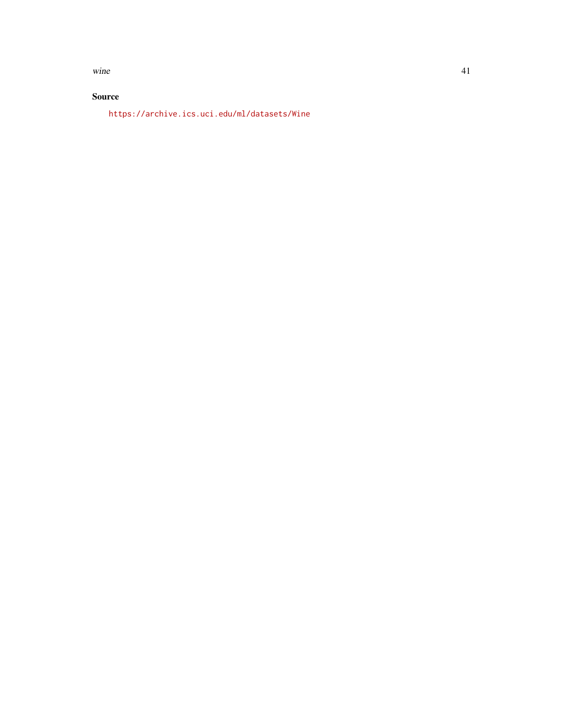wine  $\frac{41}{2}$ 

## Source

<https://archive.ics.uci.edu/ml/datasets/Wine>